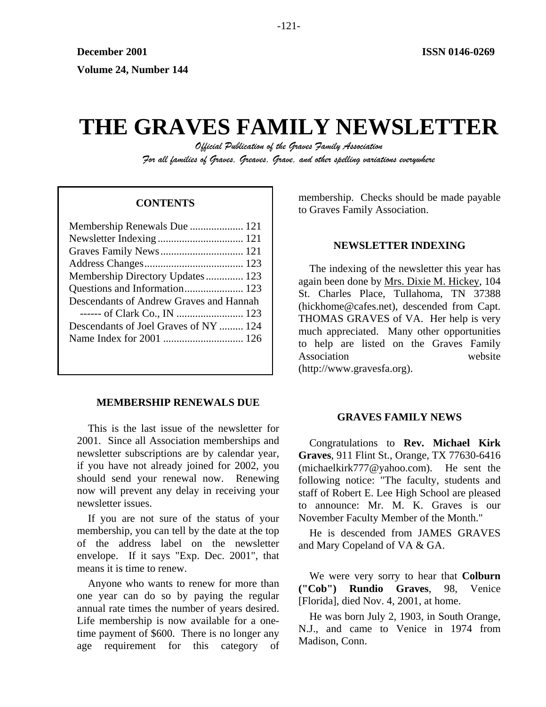# **THE GRAVES FAMILY NEWSLETTER**

*Official Publication of the Graves Family Association For all families of Graves, Greaves, Grave, and other spelling variations everywhere* 

| Membership Renewals Due  121            |  |
|-----------------------------------------|--|
|                                         |  |
|                                         |  |
|                                         |  |
| Membership Directory Updates 123        |  |
|                                         |  |
| Descendants of Andrew Graves and Hannah |  |
|                                         |  |
| Descendants of Joel Graves of NY  124   |  |
|                                         |  |
|                                         |  |

# **MEMBERSHIP RENEWALS DUE**

This is the last issue of the newsletter for 2001. Since all Association memberships and newsletter subscriptions are by calendar year, if you have not already joined for 2002, you should send your renewal now. Renewing now will prevent any delay in receiving your newsletter issues.

If you are not sure of the status of your membership, you can tell by the date at the top of the address label on the newsletter envelope. If it says "Exp. Dec. 2001", that means it is time to renew.

Anyone who wants to renew for more than one year can do so by paying the regular annual rate times the number of years desired. Life membership is now available for a onetime payment of \$600. There is no longer any age requirement for this category of

membership. Checks should be made payable to Graves Family Association. **CONTENTS** 

# **NEWSLETTER INDEXING**

The indexing of the newsletter this year has again been done by Mrs. Dixie M. Hickey, 104 St. Charles Place, Tullahoma, TN 37388 (hickhome@cafes.net), descended from Capt. THOMAS GRAVES of VA. Her help is very much appreciated. Many other opportunities to help are listed on the Graves Family Association website (http://www.gravesfa.org).

# **GRAVES FAMILY NEWS**

Congratulations to **Rev. Michael Kirk Graves**, 911 Flint St., Orange, TX 77630-6416 (michaelkirk777@yahoo.com). He sent the following notice: "The faculty, students and staff of Robert E. Lee High School are pleased to announce: Mr. M. K. Graves is our November Faculty Member of the Month."

He is descended from JAMES GRAVES and Mary Copeland of VA & GA.

We were very sorry to hear that **Colburn ("Cob") Rundio Graves**, 98, Venice [Florida], died Nov. 4, 2001, at home.

He was born July 2, 1903, in South Orange, N.J., and came to Venice in 1974 from Madison, Conn.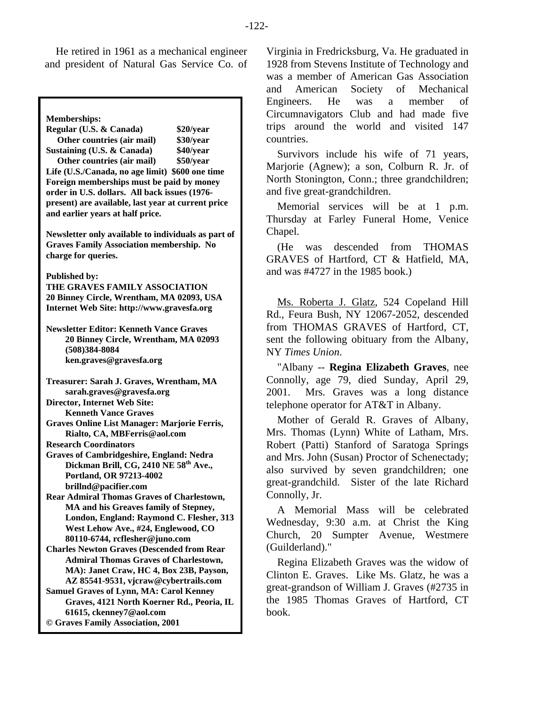He retired in 1961 as a mechanical engineer and president of Natural Gas Service Co. of

**Memberships:** 

**Regular (U.S. & Canada) \$20/year Other countries (air mail) \$30/year Sustaining (U.S. & Canada) \$40/year Other countries (air mail) \$50/year Life (U.S./Canada, no age limit) \$600 one time Foreign memberships must be paid by money order in U.S. dollars. All back issues (1976 present) are available, last year at current price and earlier years at half price. Newsletter only available to individuals as part of Graves Family Association membership. No charge for queries. Published by: THE GRAVES FAMILY ASSOCIATION 20 Binney Circle, Wrentham, MA 02093, USA Internet Web Site: http://www.gravesfa.org Newsletter Editor: Kenneth Vance Graves 20 Binney Circle, Wrentham, MA 02093 (508)384-8084 ken.graves@gravesfa.org Treasurer: Sarah J. Graves, Wrentham, MA sarah.graves@gravesfa.org Director, Internet Web Site: Kenneth Vance Graves Graves Online List Manager: Marjorie Ferris, Rialto, CA, MBFerris@aol.com Research Coordinators Graves of Cambridgeshire, England: Nedra**  Dickman Brill, CG, 2410 NE 58<sup>th</sup> Ave., **Portland, OR 97213-4002 brillnd@pacifier.com Rear Admiral Thomas Graves of Charlestown, MA and his Greaves family of Stepney, London, England: Raymond C. Flesher, 313 West Lehow Ave., #24, Englewood, CO 80110-6744, rcflesher@juno.com Charles Newton Graves (Descended from Rear Admiral Thomas Graves of Charlestown, MA): Janet Craw, HC 4, Box 23B, Payson, AZ 85541-9531, vjcraw@cybertrails.com Samuel Graves of Lynn, MA: Carol Kenney Graves, 4121 North Koerner Rd., Peoria, IL 61615, ckenney7@aol.com © Graves Family Association, 2001**

Virginia in Fredricksburg, Va. He graduated in 1928 from Stevens Institute of Technology and was a member of American Gas Association and American Society of Mechanical Engineers. He was a member of Circumnavigators Club and had made five trips around the world and visited 147 countries.

Survivors include his wife of 71 years, Marjorie (Agnew); a son, Colburn R. Jr. of North Stonington, Conn.; three grandchildren; and five great-grandchildren.

Memorial services will be at 1 p.m. Thursday at Farley Funeral Home, Venice Chapel.

(He was descended from THOMAS GRAVES of Hartford, CT & Hatfield, MA, and was #4727 in the 1985 book.)

Ms. Roberta J. Glatz, 524 Copeland Hill Rd., Feura Bush, NY 12067-2052, descended from THOMAS GRAVES of Hartford, CT, sent the following obituary from the Albany, NY *Times Union*.

"Albany -- **Regina Elizabeth Graves**, nee Connolly, age 79, died Sunday, April 29, 2001. Mrs. Graves was a long distance telephone operator for AT&T in Albany.

Mother of Gerald R. Graves of Albany, Mrs. Thomas (Lynn) White of Latham, Mrs. Robert (Patti) Stanford of Saratoga Springs and Mrs. John (Susan) Proctor of Schenectady; also survived by seven grandchildren; one great-grandchild. Sister of the late Richard Connolly, Jr.

A Memorial Mass will be celebrated Wednesday, 9:30 a.m. at Christ the King Church, 20 Sumpter Avenue, Westmere (Guilderland)."

Regina Elizabeth Graves was the widow of Clinton E. Graves. Like Ms. Glatz, he was a great-grandson of William J. Graves (#2735 in the 1985 Thomas Graves of Hartford, CT book.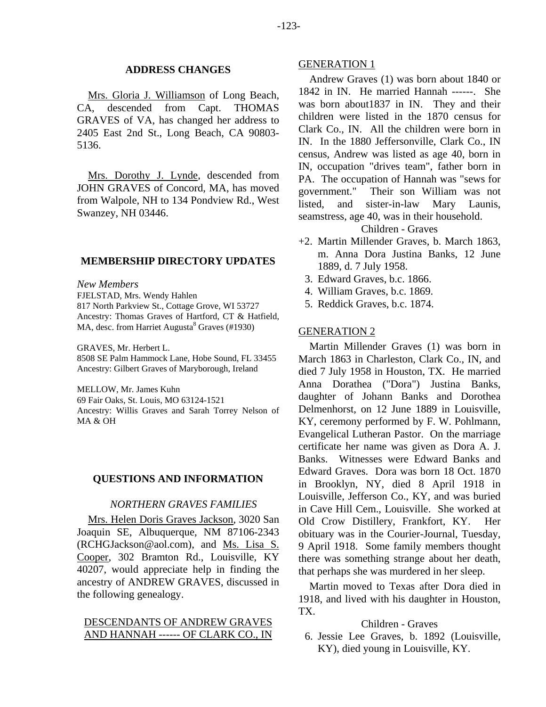# **ADDRESS CHANGES**

Mrs. Gloria J. Williamson of Long Beach, CA, descended from Capt. THOMAS GRAVES of VA, has changed her address to 2405 East 2nd St., Long Beach, CA 90803- 5136.

Mrs. Dorothy J. Lynde, descended from JOHN GRAVES of Concord, MA, has moved from Walpole, NH to 134 Pondview Rd., West Swanzey, NH 03446.

# **MEMBERSHIP DIRECTORY UPDATES**

*New Members* 

FJELSTAD, Mrs. Wendy Hahlen 817 North Parkview St., Cottage Grove, WI 53727 Ancestry: Thomas Graves of Hartford, CT & Hatfield, MA, desc. from Harriet Augusta $8$  Graves (#1930)

GRAVES, Mr. Herbert L.

8508 SE Palm Hammock Lane, Hobe Sound, FL 33455 Ancestry: Gilbert Graves of Maryborough, Ireland

MELLOW, Mr. James Kuhn

69 Fair Oaks, St. Louis, MO 63124-1521

Ancestry: Willis Graves and Sarah Torrey Nelson of MA & OH

# **QUESTIONS AND INFORMATION**

#### *NORTHERN GRAVES FAMILIES*

Mrs. Helen Doris Graves Jackson, 3020 San Joaquin SE, Albuquerque, NM 87106-2343 (RCHGJackson@aol.com), and Ms. Lisa S. Cooper, 302 Bramton Rd., Louisville, KY 40207, would appreciate help in finding the ancestry of ANDREW GRAVES, discussed in the following genealogy.

# DESCENDANTS OF ANDREW GRAVES AND HANNAH ------ OF CLARK CO., IN

# GENERATION 1

Andrew Graves (1) was born about 1840 or 1842 in IN. He married Hannah ------. She was born about1837 in IN. They and their children were listed in the 1870 census for Clark Co., IN. All the children were born in IN. In the 1880 Jeffersonville, Clark Co., IN census, Andrew was listed as age 40, born in IN, occupation "drives team", father born in PA. The occupation of Hannah was "sews for government." Their son William was not listed, and sister-in-law Mary Launis, seamstress, age 40, was in their household.

Children - Graves

- +2. Martin Millender Graves, b. March 1863, m. Anna Dora Justina Banks, 12 June 1889, d. 7 July 1958.
	- 3. Edward Graves, b.c. 1866.
	- 4. William Graves, b.c. 1869.
	- 5. Reddick Graves, b.c. 1874.

#### GENERATION 2

Martin Millender Graves (1) was born in March 1863 in Charleston, Clark Co., IN, and died 7 July 1958 in Houston, TX. He married Anna Dorathea ("Dora") Justina Banks, daughter of Johann Banks and Dorothea Delmenhorst, on 12 June 1889 in Louisville, KY, ceremony performed by F. W. Pohlmann, Evangelical Lutheran Pastor. On the marriage certificate her name was given as Dora A. J. Banks. Witnesses were Edward Banks and Edward Graves. Dora was born 18 Oct. 1870 in Brooklyn, NY, died 8 April 1918 in Louisville, Jefferson Co., KY, and was buried in Cave Hill Cem., Louisville. She worked at Old Crow Distillery, Frankfort, KY. Her obituary was in the Courier-Journal, Tuesday, 9 April 1918. Some family members thought there was something strange about her death, that perhaps she was murdered in her sleep.

Martin moved to Texas after Dora died in 1918, and lived with his daughter in Houston, TX.

# Children - Graves

 6. Jessie Lee Graves, b. 1892 (Louisville, KY), died young in Louisville, KY.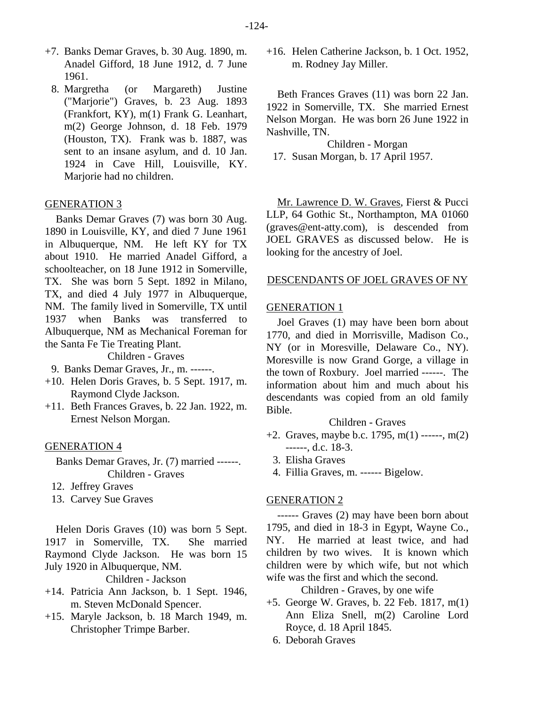- +7. Banks Demar Graves, b. 30 Aug. 1890, m. Anadel Gifford, 18 June 1912, d. 7 June 1961.
	- 8. Margretha (or Margareth) Justine ("Marjorie") Graves, b. 23 Aug. 1893 (Frankfort, KY), m(1) Frank G. Leanhart, m(2) George Johnson, d. 18 Feb. 1979 (Houston, TX). Frank was b. 1887, was sent to an insane asylum, and d. 10 Jan. 1924 in Cave Hill, Louisville, KY. Marjorie had no children.

## GENERATION 3

Banks Demar Graves (7) was born 30 Aug. 1890 in Louisville, KY, and died 7 June 1961 in Albuquerque, NM. He left KY for TX about 1910. He married Anadel Gifford, a schoolteacher, on 18 June 1912 in Somerville, TX. She was born 5 Sept. 1892 in Milano, TX, and died 4 July 1977 in Albuquerque, NM. The family lived in Somerville, TX until 1937 when Banks was transferred to Albuquerque, NM as Mechanical Foreman for the Santa Fe Tie Treating Plant.

Children - Graves

9. Banks Demar Graves, Jr., m. ------.

- +10. Helen Doris Graves, b. 5 Sept. 1917, m. Raymond Clyde Jackson.
- +11. Beth Frances Graves, b. 22 Jan. 1922, m. Ernest Nelson Morgan.

# GENERATION 4

Banks Demar Graves, Jr. (7) married ------. Children - Graves

- 12. Jeffrey Graves
- 13. Carvey Sue Graves

Helen Doris Graves (10) was born 5 Sept. 1917 in Somerville, TX. She married Raymond Clyde Jackson. He was born 15 July 1920 in Albuquerque, NM.

Children - Jackson

- +14. Patricia Ann Jackson, b. 1 Sept. 1946, m. Steven McDonald Spencer.
- +15. Maryle Jackson, b. 18 March 1949, m. Christopher Trimpe Barber.

+16. Helen Catherine Jackson, b. 1 Oct. 1952, m. Rodney Jay Miller.

Beth Frances Graves (11) was born 22 Jan. 1922 in Somerville, TX. She married Ernest Nelson Morgan. He was born 26 June 1922 in Nashville, TN.

Children - Morgan

17. Susan Morgan, b. 17 April 1957.

Mr. Lawrence D. W. Graves, Fierst & Pucci LLP, 64 Gothic St., Northampton, MA 01060 (graves@ent-atty.com), is descended from JOEL GRAVES as discussed below. He is looking for the ancestry of Joel.

#### DESCENDANTS OF JOEL GRAVES OF NY

#### GENERATION 1

Joel Graves (1) may have been born about 1770, and died in Morrisville, Madison Co., NY (or in Moresville, Delaware Co., NY). Moresville is now Grand Gorge, a village in the town of Roxbury. Joel married ------. The information about him and much about his descendants was copied from an old family Bible.

# Children - Graves

- +2. Graves, maybe b.c. 1795, m(1) ------, m(2) ------, d.c. 18-3.
	- 3. Elisha Graves
	- 4. Fillia Graves, m. ------ Bigelow.

#### GENERATION 2

------ Graves (2) may have been born about 1795, and died in 18-3 in Egypt, Wayne Co., NY. He married at least twice, and had children by two wives. It is known which children were by which wife, but not which wife was the first and which the second.

Children - Graves, by one wife

- +5. George W. Graves, b. 22 Feb. 1817, m(1) Ann Eliza Snell, m(2) Caroline Lord Royce, d. 18 April 1845.
	- 6. Deborah Graves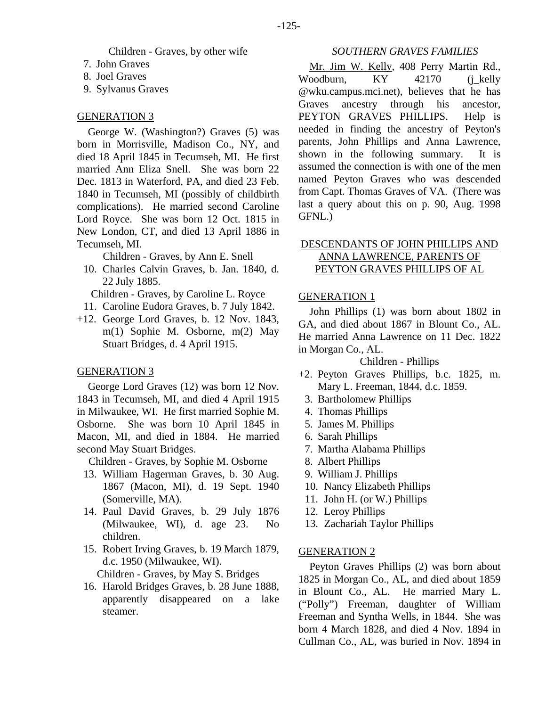Children - Graves, by other wife

- 7. John Graves
- 8. Joel Graves
- 9. Sylvanus Graves

# GENERATION 3

George W. (Washington?) Graves (5) was born in Morrisville, Madison Co., NY, and died 18 April 1845 in Tecumseh, MI. He first married Ann Eliza Snell. She was born 22 Dec. 1813 in Waterford, PA, and died 23 Feb. 1840 in Tecumseh, MI (possibly of childbirth complications). He married second Caroline Lord Royce. She was born 12 Oct. 1815 in New London, CT, and died 13 April 1886 in Tecumseh, MI.

Children - Graves, by Ann E. Snell

 10. Charles Calvin Graves, b. Jan. 1840, d. 22 July 1885.

Children - Graves, by Caroline L. Royce

- 11. Caroline Eudora Graves, b. 7 July 1842.
- +12. George Lord Graves, b. 12 Nov. 1843, m(1) Sophie M. Osborne, m(2) May Stuart Bridges, d. 4 April 1915.

# GENERATION 3

George Lord Graves (12) was born 12 Nov. 1843 in Tecumseh, MI, and died 4 April 1915 in Milwaukee, WI. He first married Sophie M. Osborne. She was born 10 April 1845 in Macon, MI, and died in 1884. He married second May Stuart Bridges.

Children - Graves, by Sophie M. Osborne

- 13. William Hagerman Graves, b. 30 Aug. 1867 (Macon, MI), d. 19 Sept. 1940 (Somerville, MA).
- 14. Paul David Graves, b. 29 July 1876 (Milwaukee, WI), d. age 23. No children.
- 15. Robert Irving Graves, b. 19 March 1879, d.c. 1950 (Milwaukee, WI).

Children - Graves, by May S. Bridges

 16. Harold Bridges Graves, b. 28 June 1888, apparently disappeared on a lake steamer.

# *SOUTHERN GRAVES FAMILIES*

Mr. Jim W. Kelly, 408 Perry Martin Rd., Woodburn, KY 42170 (j\_kelly @wku.campus.mci.net), believes that he has Graves ancestry through his ancestor, PEYTON GRAVES PHILLIPS. Help is needed in finding the ancestry of Peyton's parents, John Phillips and Anna Lawrence, shown in the following summary. It is assumed the connection is with one of the men named Peyton Graves who was descended from Capt. Thomas Graves of VA. (There was last a query about this on p. 90, Aug. 1998 GFNL.)

# DESCENDANTS OF JOHN PHILLIPS AND ANNA LAWRENCE, PARENTS OF PEYTON GRAVES PHILLIPS OF AL

## GENERATION 1

John Phillips (1) was born about 1802 in GA, and died about 1867 in Blount Co., AL. He married Anna Lawrence on 11 Dec. 1822 in Morgan Co., AL.

Children - Phillips

- +2. Peyton Graves Phillips, b.c. 1825, m. Mary L. Freeman, 1844, d.c. 1859.
	- 3. Bartholomew Phillips
	- 4. Thomas Phillips
	- 5. James M. Phillips
	- 6. Sarah Phillips
	- 7. Martha Alabama Phillips
	- 8. Albert Phillips
	- 9. William J. Phillips
- 10. Nancy Elizabeth Phillips
- 11. John H. (or W.) Phillips
- 12. Leroy Phillips
- 13. Zachariah Taylor Phillips

#### GENERATION 2

Peyton Graves Phillips (2) was born about 1825 in Morgan Co., AL, and died about 1859 in Blount Co., AL. He married Mary L. ("Polly") Freeman, daughter of William Freeman and Syntha Wells, in 1844. She was born 4 March 1828, and died 4 Nov. 1894 in Cullman Co., AL, was buried in Nov. 1894 in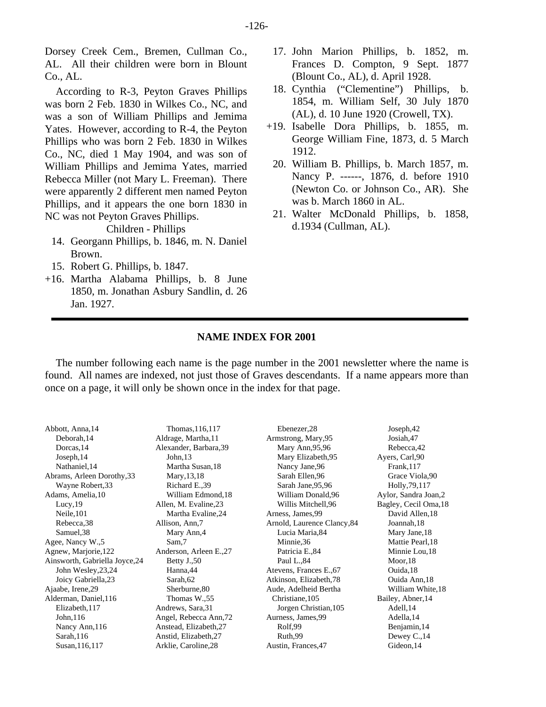Dorsey Creek Cem., Bremen, Cullman Co., AL. All their children were born in Blount Co., AL.

According to R-3, Peyton Graves Phillips was born 2 Feb. 1830 in Wilkes Co., NC, and was a son of William Phillips and Jemima Yates. However, according to R-4, the Peyton Phillips who was born 2 Feb. 1830 in Wilkes Co., NC, died 1 May 1904, and was son of William Phillips and Jemima Yates, married Rebecca Miller (not Mary L. Freeman). There were apparently 2 different men named Peyton Phillips, and it appears the one born 1830 in NC was not Peyton Graves Phillips.

Children - Phillips

- 14. Georgann Phillips, b. 1846, m. N. Daniel Brown.
- 15. Robert G. Phillips, b. 1847.
- +16. Martha Alabama Phillips, b. 8 June 1850, m. Jonathan Asbury Sandlin, d. 26 Jan. 1927.
- 17. John Marion Phillips, b. 1852, m. Frances D. Compton, 9 Sept. 1877 (Blount Co., AL), d. April 1928.
- 18. Cynthia ("Clementine") Phillips, b. 1854, m. William Self, 30 July 1870 (AL), d. 10 June 1920 (Crowell, TX).
- +19. Isabelle Dora Phillips, b. 1855, m. George William Fine, 1873, d. 5 March 1912.
	- 20. William B. Phillips, b. March 1857, m. Nancy P. ------, 1876, d. before 1910 (Newton Co. or Johnson Co., AR). She was b. March 1860 in AL.
	- 21. Walter McDonald Phillips, b. 1858, d.1934 (Cullman, AL).

#### **NAME INDEX FOR 2001**

The number following each name is the page number in the 2001 newsletter where the name is found. All names are indexed, not just those of Graves descendants. If a name appears more than once on a page, it will only be shown once in the index for that page.

| Abbott, Anna, 14               | Thomas, 116, 117       | Ebenezer, 28                | Joseph, 42            |
|--------------------------------|------------------------|-----------------------------|-----------------------|
| Deborah, 14                    | Aldrage, Martha, 11    | Armstrong, Mary, 95         | Josiah, 47            |
| Dorcas, 14                     | Alexander, Barbara, 39 | Mary Ann, 95, 96            | Rebecca, 42           |
| Joseph, 14                     | John <sub>13</sub>     | Mary Elizabeth, 95          | Ayers, Carl, 90       |
| Nathaniel, 14                  | Martha Susan, 18       | Nancy Jane, 96              | Frank, 117            |
| Abrams, Arleen Dorothy, 33     | Mary, 13, 18           | Sarah Ellen, 96             | Grace Viola, 90       |
| Wayne Robert, 33               | Richard E., 39         | Sarah Jane, 95, 96          | Holly, 79, 117        |
| Adams, Amelia, 10              | William Edmond, 18     | William Donald, 96          | Aylor, Sandra Joan, 2 |
| Lucy, 19                       | Allen, M. Evaline, 23  | Willis Mitchell, 96         | Bagley, Cecil Oma, 18 |
| Neile, 101                     | Martha Evaline, 24     | Arness, James, 99           | David Allen, 18       |
| Rebecca, 38                    | Allison, Ann, 7        | Arnold, Laurence Clancy, 84 | Joannah, 18           |
| Samuel, 38                     | Mary Ann, 4            | Lucia Maria, 84             | Mary Jane, 18         |
| Agee, Nancy W., 5              | Sam,7                  | Minnie, 36                  | Mattie Pearl, 18      |
| Agnew, Marjorie, 122           | Anderson, Arleen E.,27 | Patricia E., 84             | Minnie Lou, 18        |
| Ainsworth, Gabriella Joyce, 24 | Betty $J.,50$          | Paul L.,84                  | $M$ oor, 18           |
| John Wesley, 23, 24            | Hanna, 44              | Atevens, Frances E., 67     | Ouida, 18             |
| Joicy Gabriella, 23            | Sarah, 62              | Atkinson, Elizabeth, 78     | Ouida Ann, 18         |
| Ajaabe, Irene, 29              | Sherburne, 80          | Aude, Adelheid Bertha       | William White, 18     |
| Alderman, Daniel, 116          | Thomas W.,55           | Christiane, 105             | Bailey, Abner, 14     |
| Elizabeth, 117                 | Andrews, Sara, 31      | Jorgen Christian, 105       | Adell, 14             |
| John, 116                      | Angel, Rebecca Ann, 72 | Aurness, James, 99          | Adella, 14            |
| Nancy Ann, 116                 | Anstead, Elizabeth, 27 | Rolf,99                     | Benjamin, 14          |
| Sarah, $116$                   | Anstid, Elizabeth, 27  | Ruth, 99                    | Dewey C., 14          |
| Susan, 116, 117                | Arklie, Caroline, 28   | Austin, Frances, 47         | Gideon, 14            |
|                                |                        |                             |                       |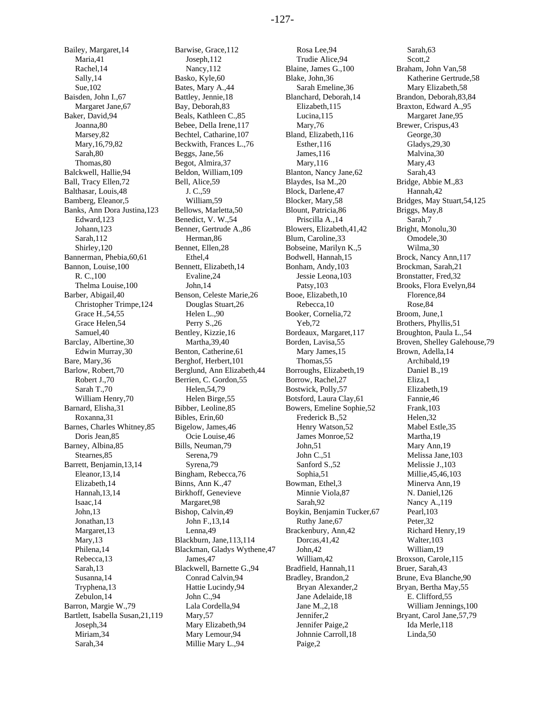Bailey, Margaret,14 Maria,41 Rachel,14 Sally,14 Sue,102 Baisden, John I.,67 Margaret Jane,67 Baker, David,94 Joanna,80 Marsey,82 Mary,16,79,82 Sarah,80 Thomas,80 Balckwell, Hallie,94 Ball, Tracy Ellen,72 Balthasar, Louis,48 Bamberg, Eleanor,5 Banks, Ann Dora Justina,123 Edward,123 Johann,123 Sarah,112 Shirley,120 Bannerman, Phebia,60,61 Bannon, Louise,100 R. C.,100 Thelma Louise,100 Barber, Abigail,40 Christopher Trimpe,124 Grace H.,54,55 Grace Helen,54 Samuel,40 Barclay, Albertine,30 Edwin Murray,30 Bare, Mary,36 Barlow, Robert,70 Robert J.,70 Sarah T.,70 William Henry,70 Barnard, Elisha,31 Roxanna,31 Barnes, Charles Whitney,85 Doris Jean,85 Barney, Albina,85 Stearnes,85 Barrett, Benjamin,13,14 Eleanor,13,14 Elizabeth,14 Hannah,13,14 Isaac,14 John,13 Jonathan,13 Margaret,13 Mary,13 Philena,14 Rebecca,13 Sarah,13 Susanna,14 Tryphena,13 Zebulon,14 Barron, Margie W.,79 Bartlett, Isabella Susan,21,119 Joseph,34 Miriam,34 Sarah,34

Barwise, Grace,112 Joseph,112 Nancy,112 Basko, Kyle,60 Bates, Mary A.,44 Battley, Jennie,18 Bay, Deborah,83 Beals, Kathleen C.,85 Bebee, Della Irene,117 Bechtel, Catharine,107 Beckwith, Frances L.,76 Beggs, Jane,56 Begot, Almira,37 Beldon, William,109 Bell, Alice,59 J. C.,59 William,59 Bellows, Marletta,50 Benedict, V. W.,54 Benner, Gertrude A.,86 Herman,86 Bennet, Ellen,28 Ethel,4 Bennett, Elizabeth,14 Evaline,24 John,14 Benson, Celeste Marie,26 Douglas Stuart,26 Helen L.,90 Perry S.,26 Bentley, Kizzie,16 Martha,39,40 Benton, Catherine,61 Berghof, Herbert,101 Berglund, Ann Elizabeth,44 Berrien, C. Gordon,55 Helen,54,79 Helen Birge,55 Bibber, Leoline,85 Bibles, Erin,60 Bigelow, James,46 Ocie Louise,46 Bills, Neuman,79 Serena,79 Syrena,79 Bingham, Rebecca,76 Binns, Ann K.,47 Birkhoff, Genevieve Margaret,98 Bishop, Calvin,49 John F.,13,14 Lenna,49 Blackburn, Jane,113,114 Blackman, Gladys Wythene,47 James,47 Blackwell, Barnette G.,94 Conrad Calvin,94 Hattie Lucindy,94 John C.,94 Lala Cordella,94 Mary,57 Mary Elizabeth,94 Mary Lemour,94 Millie Mary L.,94

Rosa Lee,94 Trudie Alice,94 Blaine, James G.,100 Blake, John,36 Sarah Emeline,36 Blanchard, Deborah,14 Elizabeth,115 Lucina,115 Mary,76 Bland, Elizabeth,116 Esther,116 James,116 Mary,116 Blanton, Nancy Jane,62 Blaydes, Isa M.,20 Block, Darlene,47 Blocker, Mary,58 Blount, Patricia,86 Priscilla A.,14 Blowers, Elizabeth,41,42 Blum, Caroline,33 Bobseine, Marilyn K.,5 Bodwell, Hannah,15 Bonham, Andy,103 Jessie Leona,103 Patsy,103 Booe, Elizabeth,10 Rebecca,10 Booker, Cornelia,72 Yeb,72 Bordeaux, Margaret,117 Borden, Lavisa,55 Mary James,15 Thomas,55 Borroughs, Elizabeth,19 Borrow, Rachel,27 Bostwick, Polly,57 Botsford, Laura Clay,61 Bowers, Emeline Sophie,52 Frederick B.,52 Henry Watson,52 James Monroe,52 John,51 John C.,51 Sanford S.,52 Sophia,51 Bowman, Ethel,3 Minnie Viola,87 Sarah,92 Boykin, Benjamin Tucker,67 Ruthy Jane,67 Brackenbury, Ann,42 Dorcas,41,42 John,42 William,42 Bradfield, Hannah,11 Bradley, Brandon,2 Bryan Alexander,2 Jane Adelaide,18 Jane M.,2,18 Jennifer,2 Jennifer Paige,2 Johnnie Carroll,18 Paige,2

Sarah,63 Scott,2 Braham, John Van,58 Katherine Gertrude,58 Mary Elizabeth,58 Brandon, Deborah,83,84 Braxton, Edward A.,95 Margaret Jane,95 Brewer, Crispus,43 George,30 Gladys,29,30 Malvina,30 Mary,43 Sarah,43 Bridge, Abbie M.,83 Hannah,42 Bridges, May Stuart,54,125 Briggs, May,8 Sarah,7 Bright, Monolu,30 Omodele,30 Wilma,30 Brock, Nancy Ann,117 Brockman, Sarah,21 Bronstatter, Fred,32 Brooks, Flora Evelyn,84 Florence,84 Rose,84 Broom, June,1 Brothers, Phyllis,51 Broughton, Paula L.,54 Broven, Shelley Galehouse,79 Brown, Adella,14 Archibald,19 Daniel B.,19 Eliza,1 Elizabeth,19 Fannie,46 Frank,103 Helen,32 Mabel Estle,35 Martha,19 Mary Ann,19 Melissa Jane,103 Melissie J.,103 Millie,45,46,103 Minerva Ann,19 N. Daniel,126 Nancy A.,119 Pearl,103 Peter,32 Richard Henry,19 Walter,103 William,19 Broxson, Carole,115 Bruer, Sarah,43 Brune, Eva Blanche,90 Bryan, Bertha May,55 E. Clifford,55 William Jennings,100 Bryant, Carol Jane,57,79 Ida Merle,118 Linda,50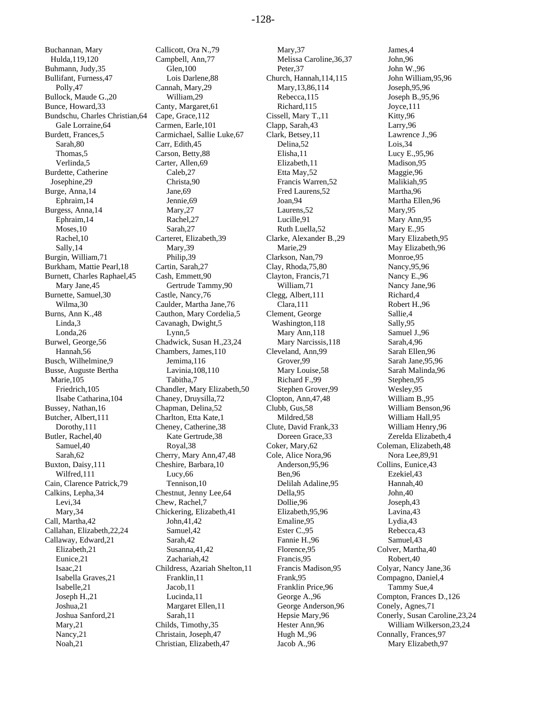Buchannan, Mary Hulda,119,120 Buhmann, Judy,35 Bullifant, Furness,47 Polly,47 Bullock, Maude G.,20 Bunce, Howard,33 Bundschu, Charles Christian,64 Gale Lorraine,64 Burdett, Frances,5 Sarah,80 Thomas,5 Verlinda,5 Burdette, Catherine Josephine,29 Burge, Anna,14 Ephraim,14 Burgess, Anna,14 Ephraim,14 Moses,10 Rachel,10 Sally,14 Burgin, William,71 Burkham, Mattie Pearl,18 Burnett, Charles Raphael,45 Mary Jane,45 Burnette, Samuel,30 Wilma,30 Burns, Ann K.,48 Linda,3 Londa,26 Burwel, George,56 Hannah,56 Busch, Wilhelmine,9 Busse, Auguste Bertha Marie,105 Friedrich,105 Ilsabe Catharina,104 Bussey, Nathan,16 Butcher, Albert,111 Dorothy,111 Butler, Rachel,40 Samuel,40 Sarah,62 Buxton, Daisy,111 Wilfred,111 Cain, Clarence Patrick,79 Calkins, Lepha,34 Levi,34 Mary,34 Call, Martha,42 Callahan, Elizabeth,22,24 Callaway, Edward,21 Elizabeth,21 Eunice,21 Isaac,21 Isabella Graves,21 Isabelle,21 Joseph H.,21 Joshua,21 Joshua Sanford,21 Mary,21 Nancy,21 Noah,21

Callicott, Ora N.,79 Campbell, Ann,77 Glen,100 Lois Darlene,88 Cannah, Mary,29 William,29 Canty, Margaret,61 Cape, Grace,112 Carmen, Earle,101 Carmichael, Sallie Luke,67 Carr, Edith,45 Carson, Betty,88 Carter, Allen,69 Caleb,27 Christa,90 Jane,69 Jennie,69 Mary,27 Rachel,27 Sarah,27 Carteret, Elizabeth,39 Mary,39 Philip,39 Cartin, Sarah,27 Cash, Emmett,90 Gertrude Tammy,90 Castle, Nancy,76 Caulder, Martha Jane,76 Cauthon, Mary Cordelia,5 Cavanagh, Dwight,5 Lynn,5 Chadwick, Susan H.,23,24 Chambers, James,110 Jemima,116 Lavinia,108,110 Tabitha,7 Chandler, Mary Elizabeth,50 Chaney, Druysilla,72 Chapman, Delina,52 Charlton, Etta Kate,1 Cheney, Catherine,38 Kate Gertrude,38 Royal,38 Cherry, Mary Ann,47,48 Cheshire, Barbara,10 Lucy,66 Tennison,10 Chestnut, Jenny Lee,64 Chew, Rachel,7 Chickering, Elizabeth,41 John,41,42 Samuel,42 Sarah,42 Susanna,41,42 Zachariah,42 Childress, Azariah Shelton,11 Franklin,11 Jacob,11 Lucinda,11 Margaret Ellen,11 Sarah,11 Childs, Timothy,35 Christain, Joseph,47 Christian, Elizabeth,47

Mary,37 Melissa Caroline,36,37 Peter,37 Church, Hannah,114,115 Mary,13,86,114 Rebecca,115 Richard,115 Cissell, Mary T.,11 Clapp, Sarah,43 Clark, Betsey,11 Delina,52 Elisha,11 Elizabeth,11 Etta May,52 Francis Warren,52 Fred Laurens,52 Joan,94 Laurens,52 Lucille,91 Ruth Luella,52 Clarke, Alexander B.,29 Marie,29 Clarkson, Nan,79 Clay, Rhoda,75,80 Clayton, Francis,71 William,71 Clegg, Albert,111 Clara,111 Clement, George Washington,118 Mary Ann,118 Mary Narcissis,118 Cleveland, Ann,99 Grover,99 Mary Louise,58 Richard F.,99 Stephen Grover,99 Clopton, Ann,47,48 Clubb, Gus,58 Mildred,58 Clute, David Frank,33 Doreen Grace,33 Coker, Mary,62 Cole, Alice Nora,96 Anderson,95,96 Ben,96 Delilah Adaline,95 Della,95 Dollie,96 Elizabeth,95,96 Emaline,95 Ester C.,95 Fannie H.,96 Florence,95 Francis,95 Francis Madison,95 Frank,95 Franklin Price,96 George A.,96 George Anderson,96 Hepsie Mary,96 Hester Ann,96 Hugh M.,96 Jacob A.,96

James,4 John,96 John W.,96 John William,95,96 Joseph,95,96 Joseph B.,95,96 Joyce,111 Kitty,96 Larry,96 Lawrence J.,96 Lois,34 Lucy E.,95,96 Madison,95 Maggie,96 Malikiah,95 Martha,96 Martha Ellen,96 Mary,95 Mary Ann,95 Mary E.,95 Mary Elizabeth,95 May Elizabeth,96 Monroe,95 Nancy,95,96 Nancy E.,96 Nancy Jane,96 Richard,4 Robert H.,96 Sallie,4 Sally,95 Samuel J.,96 Sarah,4,96 Sarah Ellen,96 Sarah Jane,95,96 Sarah Malinda,96 Stephen,95 Wesley,95 William B.,95 William Benson,96 William Hall,95 William Henry,96 Zerelda Elizabeth,4 Coleman, Elizabeth,48 Nora Lee,89,91 Collins, Eunice,43 Ezekiel,43 Hannah,40 John,40 Joseph,43 Lavina,43 Lydia,43 Rebecca,43 Samuel,43 Colver, Martha,40 Robert,40 Colyar, Nancy Jane,36 Compagno, Daniel,4 Tammy Sue,4 Compton, Frances D.,126 Conely, Agnes,71 Conerly, Susan Caroline,23,24 William Wilkerson,23,24 Connally, Frances,97 Mary Elizabeth,97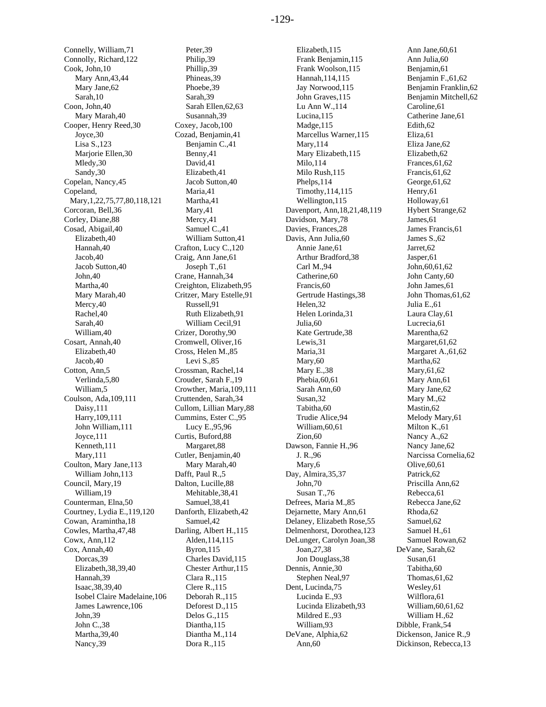Connelly, William,71 Connolly, Richard,122 Cook, John,10 Mary Ann,43,44 Mary Jane,62 Sarah,10 Coon, John,40 Mary Marah,40 Cooper, Henry Reed,30 Joyce,30 Lisa S.,123 Marjorie Ellen,30 Mledy,30 Sandy,30 Copelan, Nancy,45 Copeland, Mary,1,22,75,77,80,118,121 Corcoran, Bell,36 Corley, Diane,88 Cosad, Abigail,40 Elizabeth,40 Hannah,40 Jacob,40 Jacob Sutton,40 John,40 Martha,40 Mary Marah,40 Mercy,40 Rachel,40 Sarah,40 William,40 Cosart, Annah,40 Elizabeth,40 Jacob,40 Cotton, Ann,5 Verlinda,5,80 William,5 Coulson, Ada,109,111 Daisy,111 Harry,109,111 John William,111 Joyce,111 Kenneth,111 Mary,111 Coulton, Mary Jane,113 William John,113 Council, Mary,19 William,19 Counterman, Elna,50 Courtney, Lydia E.,119,120 Cowan, Aramintha,18 Cowles, Martha,47,48 Cowx, Ann,112 Cox, Annah,40 Dorcas,39 Elizabeth,38,39,40 Hannah,39 Isaac,38,39,40 Isobel Claire Madelaine,106 James Lawrence,106 John,39 John C.,38 Martha,39,40 Nancy,39

Peter,39 Philip,39 Phillip,39 Phineas,39 Phoebe,39 Sarah,39 Sarah Ellen,62,63 Susannah,39 Coxey, Jacob,100 Cozad, Benjamin,41 Benjamin C.,41 Benny,41 David,41 Elizabeth,41 Jacob Sutton,40 Maria,41 Martha,41 Mary,41 Mercy,41 Samuel C.,41 William Sutton,41 Crafton, Lucy C.,120 Craig, Ann Jane,61 Joseph T.,61 Crane, Hannah,34 Creighton, Elizabeth,95 Critzer, Mary Estelle,91 Russell,91 Ruth Elizabeth,91 William Cecil,91 Crizer, Dorothy,90 Cromwell, Oliver,16 Cross, Helen M.,85 Levi S.,85 Crossman, Rachel,14 Crouder, Sarah F.,19 Crowther, Maria,109,111 Cruttenden, Sarah,34 Cullom, Lillian Mary,88 Cummins, Ester C.,95 Lucy E.,95,96 Curtis, Buford,88 Margaret,88 Cutler, Benjamin,40 Mary Marah,40 Dafft, Paul R.,5 Dalton, Lucille,88 Mehitable,38,41 Samuel,38,41 Danforth, Elizabeth,42 Samuel,42 Darling, Albert H.,115 Alden,114,115 Byron,115 Charles David,115 Chester Arthur,115 Clara R.,115 Clere R.,115 Deborah R.,115 Deforest D.,115 Delos G.,115 Diantha,115 Diantha M.,114 Dora R.,115

Elizabeth,115 Frank Benjamin,115 Frank Woolson,115 Hannah,114,115 Jay Norwood,115 John Graves,115 Lu Ann W.,114 Lucina,115 Madge,115 Marcellus Warner,115 Mary,114 Mary Elizabeth,115 Milo,114 Milo Rush,115 Phelps,114 Timothy,114,115 Wellington,115 Davenport, Ann,18,21,48,119 Davidson, Mary,78 Davies, Frances,28 Davis, Ann Julia,60 Annie Jane,61 Arthur Bradford,38 Carl M.,94 Catherine,60 Francis, 60 Gertrude Hastings,38 Helen,32 Helen Lorinda,31 Julia,60 Kate Gertrude,38 Lewis,31 Maria,31 Mary,60 Mary E.,38 Phebia,60,61 Sarah Ann,60 Susan,32 Tabitha,60 Trudie Alice,94 William,60,61 Zion,60 Dawson, Fannie H.,96 J. R.,96 Mary,6 Day, Almira,35,37 John,70 Susan T.,76 Defrees, Maria M.,85 Dejarnette, Mary Ann,61 Delaney, Elizabeth Rose,55 Delmenhorst, Dorothea,123 DeLunger, Carolyn Joan,38 Joan,27,38 Jon Douglass,38 Dennis, Annie,30 Stephen Neal,97 Dent, Lucinda,75 Lucinda E.,93 Lucinda Elizabeth,93 Mildred E.,93 William,93 DeVane, Alphia,62 Ann,60

Ann Jane,60,61 Ann Julia,60 Benjamin,61 Benjamin F.,61,62 Benjamin Franklin,62 Benjamin Mitchell,62 Caroline,61 Catherine Jane,61 Edith,62 Eliza,61 Eliza Jane,62 Elizabeth,62 Frances,61,62 Francis,61,62 George,61,62 Henry,61 Holloway,61 Hybert Strange,62 James,61 James Francis,61 James S.,62 Jarret,62 Jasper,61 John,60,61,62 John Canty,60 John James,61 John Thomas,61,62 Julia E.,61 Laura Clay,61 Lucrecia,61 Marentha,62 Margaret,61,62 Margaret A.,61,62 Martha,62 Mary,61,62 Mary Ann,61 Mary Jane,62 Mary M.,62 Mastin,62 Melody Mary,61 Milton K.,61 Nancy A.,62 Nancy Jane,62 Narcissa Cornelia,62 Olive,60,61 Patrick,62 Priscilla Ann,62 Rebecca,61 Rebecca Jane,62 Rhoda,62 Samuel,62 Samuel H.,61 Samuel Rowan,62 DeVane, Sarah,62 Susan,61 Tabitha,60 Thomas,61,62 Wesley,61 Wilflora,61 William,60,61,62 William H.,62 Dibble, Frank,54 Dickenson, Janice R.,9 Dickinson, Rebecca,13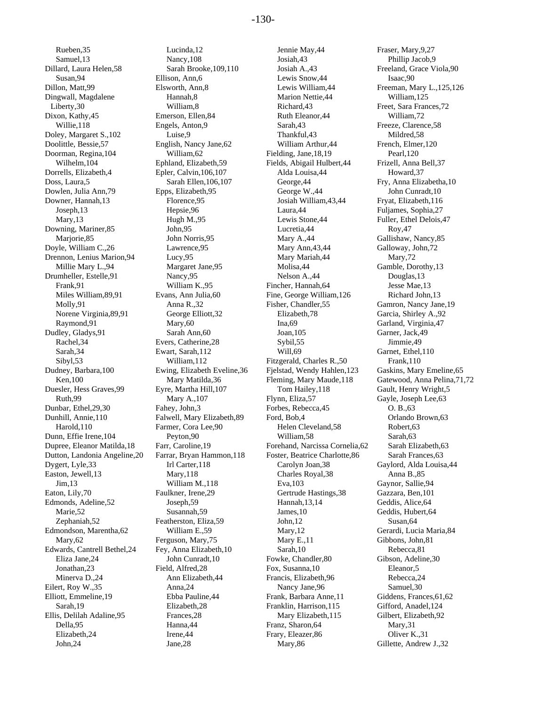Rueben,35 Samuel,13 Dillard, Laura Helen,58 Susan,94 Dillon, Matt,99 Dingwall, Magdalene Liberty,30 Dixon, Kathy,45 Willie,118 Doley, Margaret S.,102 Doolittle, Bessie,57 Doorman, Regina,104 Wilhelm,104 Dorrells, Elizabeth,4 Doss, Laura,5 Dowlen, Julia Ann,79 Downer, Hannah,13 Joseph,13 Mary,13 Downing, Mariner,85 Mariorie, 85 Doyle, William C.,26 Drennon, Lenius Marion,94 Millie Mary L.,94 Drumheller, Estelle,91 Frank,91 Miles William,89,91 Molly,91 Norene Virginia,89,91 Raymond,91 Dudley, Gladys,91 Rachel,34 Sarah,34 Sibyl,53 Dudney, Barbara,100 Ken,100 Duesler, Hess Graves,99 Ruth,99 Dunbar, Ethel,29,30 Dunhill, Annie,110 Harold,110 Dunn, Effie Irene,104 Dupree, Eleanor Matilda,18 Dutton, Landonia Angeline,20 Dygert, Lyle,33 Easton, Jewell,13 Jim,13 Eaton, Lily,70 Edmonds, Adeline,52 Marie,52 Zephaniah,52 Edmondson, Marentha,62 Mary,62 Edwards, Cantrell Bethel,24 Eliza Jane,24 Jonathan,23 Minerva D.,24 Eilert, Roy W.,35 Elliott, Emmeline,19 Sarah,19 Ellis, Delilah Adaline,95 Della,95 Elizabeth,24 John,24

Lucinda,12 Nancy,108 Sarah Brooke,109,110 Ellison, Ann,6 Elsworth, Ann,8 Hannah,8 William,8 Emerson, Ellen,84 Engels, Anton,9 Luise,9 English, Nancy Jane,62 William,62 Ephland, Elizabeth,59 Epler, Calvin,106,107 Sarah Ellen,106,107 Epps, Elizabeth,95 Florence,95 Hepsie,96 Hugh M.,95 John,95 John Norris,95 Lawrence,95 Lucy,95 Margaret Jane,95 Nancy,95 William K.,95 Evans, Ann Julia,60 Anna R.,32 George Elliott,32 Mary,60 Sarah Ann,60 Evers, Catherine,28 Ewart, Sarah,112 William,112 Ewing, Elizabeth Eveline,36 Mary Matilda,36 Eyre, Martha Hill,107 Mary A.,107 Fahey, John,3 Falwell, Mary Elizabeth,89 Farmer, Cora Lee,90 Peyton,90 Farr, Caroline,19 Farrar, Bryan Hammon,118 Irl Carter,118 Mary,118 William M.,118 Faulkner, Irene,29 Joseph,59 Susannah,59 Featherston, Eliza,59 William E.,59 Ferguson, Mary,75 Fey, Anna Elizabeth,10 John Cunradt,10 Field, Alfred,28 Ann Elizabeth,44 Anna,24 Ebba Pauline,44 Elizabeth,28 Frances,28 Hanna,44 Irene,44 Jane,28

Jennie May,44 Josiah,43 Josiah A.,43 Lewis Snow,44 Lewis William,44 Marion Nettie,44 Richard,43 Ruth Eleanor,44 Sarah,43 Thankful,43 William Arthur,44 Fielding, Jane,18,19 Fields, Abigail Hulbert,44 Alda Louisa,44 George,44 George W.,44 Josiah William,43,44 Laura,44 Lewis Stone,44 Lucretia,44 Mary A.,44 Mary Ann,43,44 Mary Mariah,44 Molisa,44 Nelson A.,44 Fincher, Hannah,64 Fine, George William,126 Fisher, Chandler,55 Elizabeth,78 Ina,69 Joan,105 Sybil,55 Will, 69 Fitzgerald, Charles R.,50 Fjelstad, Wendy Hahlen,123 Fleming, Mary Maude,118 Tom Hailey,118 Flynn, Eliza,57 Forbes, Rebecca,45 Ford, Bob,4 Helen Cleveland,58 William,58 Forehand, Narcissa Cornelia,62 Foster, Beatrice Charlotte,86 Carolyn Joan,38 Charles Royal,38 Eva,103 Gertrude Hastings,38 Hannah,13,14 James,10 John,12 Mary,12 Mary E.,11 Sarah,10 Fowke, Chandler,80 Fox, Susanna,10 Francis, Elizabeth,96 Nancy Jane,96 Frank, Barbara Anne,11 Franklin, Harrison,115 Mary Elizabeth,115 Franz, Sharon,64 Frary, Eleazer,86 Mary,86

Fraser, Mary,9,27 Phillip Jacob,9 Freeland, Grace Viola,90 Isaac,90 Freeman, Mary L.,125,126 William,125 Freet, Sara Frances,72 William,72 Freeze, Clarence,58 Mildred,58 French, Elmer,120 Pearl,120 Frizell, Anna Bell,37 Howard,37 Fry, Anna Elizabetha,10 John Cunradt,10 Fryat, Elizabeth,116 Fuljames, Sophia,27 Fuller, Ethel Delois,47 Roy,47 Gallishaw, Nancy,85 Galloway, John,72 Mary,72 Gamble, Dorothy,13 Douglas,13 Jesse Mae,13 Richard John,13 Gamron, Nancy Jane,19 Garcia, Shirley A.,92 Garland, Virginia,47 Garner, Jack,49 Jimmie,49 Garnet, Ethel,110 Frank,110 Gaskins, Mary Emeline,65 Gatewood, Anna Pelina,71,72 Gault, Henry Wright,5 Gayle, Joseph Lee,63 O. B.,63 Orlando Brown,63 Robert,63 Sarah,63 Sarah Elizabeth,63 Sarah Frances,63 Gaylord, Alda Louisa,44 Anna B.,85 Gaynor, Sallie,94 Gazzara, Ben,101 Geddis, Alice,64 Geddis, Hubert,64 Susan, 64 Gerardi, Lucia Maria,84 Gibbons, John,81 Rebecca,81 Gibson, Adeline,30 Eleanor,5 Rebecca,24 Samuel,30 Giddens, Frances,61,62 Gifford, Anadel,124 Gilbert, Elizabeth,92 Mary,31 Oliver K.,31 Gillette, Andrew J.,32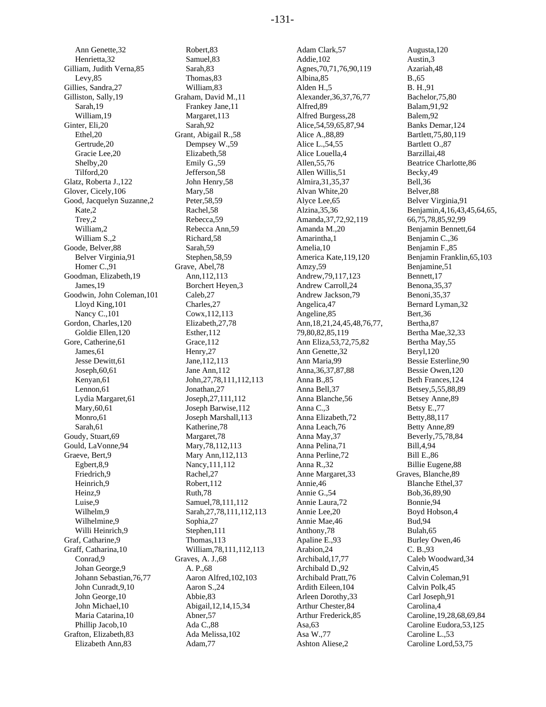Ann Genette,32 Henrietta,32 Gilliam, Judith Verna,85 Levy,85 Gillies, Sandra,27 Gilliston, Sally,19 Sarah,19 William,19 Ginter, Eli,20 Ethel,20 Gertrude,20 Gracie Lee,20 Shelby,20 Tilford,20 Glatz, Roberta J.,122 Glover, Cicely,106 Good, Jacquelyn Suzanne,2 Kate,2 Trey,2 William,2 William S.,2 Goode, Belver,88 Belver Virginia,91 Homer C.,91 Goodman, Elizabeth,19 James,19 Goodwin, John Coleman,101 Lloyd King,101 Nancy C.,101 Gordon, Charles,120 Goldie Ellen,120 Gore, Catherine,61 James,61 Jesse Dewitt,61 Joseph,60,61 Kenyan,61 Lennon,61 Lydia Margaret,61 Mary,60,61 Monro,61 Sarah,61 Goudy, Stuart,69 Gould, LaVonne,94 Graeve, Bert,9 Egbert,8,9 Friedrich,9 Heinrich,9 Heinz,9 Luise,9 Wilhelm<sub>9</sub> Wilhelmine,9 Willi Heinrich,9 Graf, Catharine,9 Graff, Catharina,10 Conrad,9 Johan George,9 Johann Sebastian,76,77 John Cunradt,9,10 John George,10 John Michael,10 Maria Catarina,10 Phillip Jacob,10 Grafton, Elizabeth,83 Elizabeth Ann,83

Robert,83 Samuel,83 Sarah,83 Thomas,83 William,83 Graham, David M.,11 Frankey Jane,11 Margaret,113 Sarah,92 Grant, Abigail R.,58 Dempsey W.,59 Elizabeth,58 Emily G.,59 Jefferson,58 John Henry,58 Mary,58 Peter,58,59 Rachel,58 Rebecca,59 Rebecca Ann,59 Richard,58 Sarah,59 Stephen,58,59 Grave, Abel,78 Ann,112,113 Borchert Heyen,3 Caleb,27 Charles,27 Cowx,112,113 Elizabeth,27,78 Esther,112 Grace,112 Henry,27 Jane,112,113 Jane Ann,112 John,27,78,111,112,113 Jonathan,27 Joseph,27,111,112 Joseph Barwise,112 Joseph Marshall,113 Katherine,78 Margaret,78 Mary,78,112,113 Mary Ann,112,113 Nancy,111,112 Rachel,27 Robert,112 Ruth,78 Samuel,78,111,112 Sarah,27,78,111,112,113 Sophia,27 Stephen,111 Thomas,113 William,78,111,112,113 Graves, A. J.,68 A. P.,68 Aaron Alfred,102,103 Aaron S.,24 Abbie,83 Abigail,12,14,15,34 Abner,57 Ada C.,88 Ada Melissa,102 Adam,77

Adam Clark,57 Addie,102 Agnes,70,71,76,90,119 Albina,85 Alden H.,5 Alexander,36,37,76,77 Alfred,89 Alfred Burgess,28 Alice,54,59,65,87,94 Alice A.,88,89 Alice L.,54,55 Alice Louella,4 Allen,55,76 Allen Willis,51 Almira,31,35,37 Alvan White,20 Alyce Lee,65 Alzina,35,36 Amanda,37,72,92,119 Amanda M.,20 Amarintha,1 Amelia,10 America Kate,119,120 Amzy,59 Andrew,79,117,123 Andrew Carroll,24 Andrew Jackson,79 Angelica,47 Angeline,85 Ann,18,21,24,45,48,76,77, 79,80,82,85,119 Ann Eliza,53,72,75,82 Ann Genette,32 Ann Maria,99 Anna,36,37,87,88 Anna B.,85 Anna Bell,37 Anna Blanche,56 Anna C.,3 Anna Elizabeth,72 Anna Leach,76 Anna May,37 Anna Pelina,71 Anna Perline,72 Anna R.,32 Anne Margaret,33 Annie,46 Annie G.,54 Annie Laura,72 Annie Lee,20 Annie Mae,46 Anthony,78 Apaline E.,93 Arabion,24 Archibald,17,77 Archibald D.,92 Archibald Pratt,76 Ardith Eileen,104 Arleen Dorothy,33 Arthur Chester,84 Arthur Frederick,85 Asa,63 Asa W.,77 Ashton Aliese,2

Augusta,120 Austin,3 Azariah,48 B.,65 B. H.,91 Bachelor,75,80 Balam,91,92 Balem,92 Banks Demar,124 Bartlett,75,80,119 Bartlett O.,87 Barzillai,48 Beatrice Charlotte,86 Becky,49 Bell,36 Belver,88 Belver Virginia,91 Benjamin,4,16,43,45,64,65, 66,75,78,85,92,99 Benjamin Bennett,64 Benjamin C.,36 Benjamin F.,85 Benjamin Franklin,65,103 Benjamine,51 Bennett,17 Benona,35,37 Benoni,35,37 Bernard Lyman,32 Bert,36 Bertha,87 Bertha Mae,32,33 Bertha May,55 Beryl,120 Bessie Esterline,90 Bessie Owen,120 Beth Frances,124 Betsey,5,55,88,89 Betsey Anne,89 Betsy E.,77 Betty,88,117 Betty Anne,89 Beverly,75,78,84 Bill,4,94 Bill E.,86 Billie Eugene,88 Graves, Blanche,89 Blanche Ethel,37 Bob,36,89,90 Bonnie,94 Boyd Hobson,4 Bud,94 Bulah,65 Burley Owen,46 C. B.,93 Caleb Woodward,34 Calvin,45 Calvin Coleman,91 Calvin Polk,45 Carl Joseph,91 Carolina,4 Caroline,19,28,68,69,84 Caroline Eudora,53,125 Caroline L.,53 Caroline Lord,53,75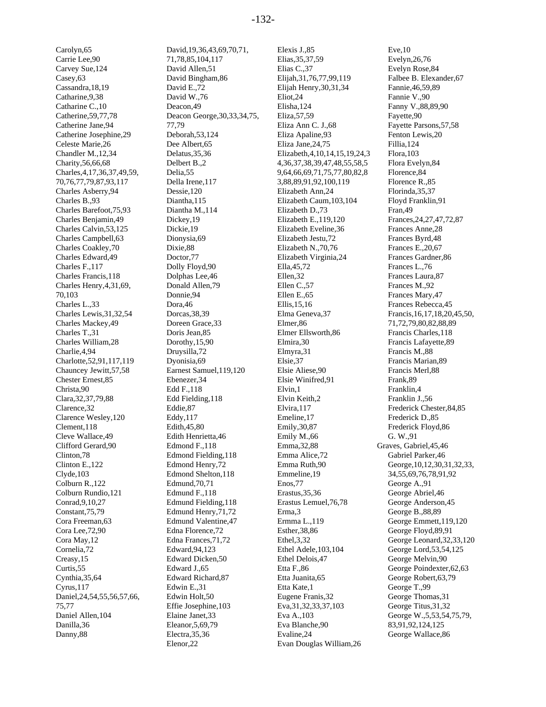Carolyn,65 Carrie Lee,90 Carvey Sue,124 Casey,63 Cassandra,18,19 Catharine,9,38 Catharine C.,10 Catherine,59,77,78 Catherine Jane,94 Catherine Josephine,29 Celeste Marie,26 Chandler M.,12,34 Charity,56,66,68 Charles,4,17,36,37,49,59, 70,76,77,79,87,93,117 Charles Asberry,94 Charles B.,93 Charles Barefoot,75,93 Charles Benjamin,49 Charles Calvin,53,125 Charles Campbell,63 Charles Coakley,70 Charles Edward,49 Charles F.,117 Charles Francis,118 Charles Henry,4,31,69, 70,103 Charles L.,33 Charles Lewis,31,32,54 Charles Mackey,49 Charles T.,31 Charles William,28 Charlie,4,94 Charlotte,52,91,117,119 Chauncey Jewitt,57,58 Chester Ernest,85 Christa,90 Clara,32,37,79,88 Clarence,32 Clarence Wesley,120 Clement,118 Cleve Wallace,49 Clifford Gerard,90 Clinton,78 Clinton E.,122 Clyde,103 Colburn R.,122 Colburn Rundio,121 Conrad,9,10,27 Constant,75,79 Cora Freeman,63 Cora Lee,72,90 Cora May,12 Cornelia,72 Creasy,15 Curtis,55 Cynthia,35,64 Cyrus,117 Daniel,24,54,55,56,57,66, 75,77 Daniel Allen,104 Danilla,36 Danny,88

David,19,36,43,69,70,71, 71,78,85,104,117 David Allen,51 David Bingham,86 David E.,72 David W.,76 Deacon,49 Deacon George,30,33,34,75, 77,79 Deborah,53,124 Dee Albert,65 Delatus,35,36 Delbert B.,2 Delia,55 Della Irene,117 Dessie,120 Diantha,115 Diantha M.,114 Dickey,19 Dickie,19 Dionysia,69 Dixie,88 Doctor,77 Dolly Floyd,90 Dolphas Lee,46 Donald Allen,79 Donnie,94 Dora,46 Dorcas,38,39 Doreen Grace,33 Doris Jean,85 Dorothy,15,90 Druysilla,72 Dyonisia,69 Earnest Samuel,119,120 Ebenezer,34 Edd F.,118 Edd Fielding,118 Eddie,87 Eddy,117 Edith,45,80 Edith Henrietta,46 Edmond F.,118 Edmond Fielding,118 Edmond Henry,72 Edmond Shelton,118 Edmund,70,71 Edmund F.,118 Edmund Fielding,118 Edmund Henry,71,72 Edmund Valentine,47 Edna Florence,72 Edna Frances,71,72 Edward,94,123 Edward Dicken,50 Edward J.,65 Edward Richard,87 Edwin E.,31 Edwin Holt,50 Effie Josephine,103 Elaine Janet,33 Eleanor,5,69,79 Electra,35,36 Elenor,22

Elexis J.,85 Elias,35,37,59 Elias C.,37 Elijah,31,76,77,99,119 Elijah Henry,30,31,34 Eliot,24 Elisha,124 Eliza,57,59 Eliza Ann C. J.,68 Eliza Apaline,93 Eliza Jane,24,75 Elizabeth,4,10,14,15,19,24,3 4,36,37,38,39,47,48,55,58,5 9,64,66,69,71,75,77,80,82,8 3,88,89,91,92,100,119 Elizabeth Ann,24 Elizabeth Caum,103,104 Elizabeth D.,73 Elizabeth E.,119,120 Elizabeth Eveline,36 Elizabeth Jestu,72 Elizabeth N.,70,76 Elizabeth Virginia,24 Ella,45,72 Ellen,32 Ellen C.,57 Ellen E.,65 Ellis,15,16 Elma Geneva,37 Elmer,86 Elmer Ellsworth,86 Elmira,30 Elmyra,31 Elsie,37 Elsie Aliese,90 Elsie Winifred,91 Elvin,1 Elvin Keith,2 Elvira,117 Emeline,17 Emily,30,87 Emily M.,66 Emma,32,88 Emma Alice,72 Emma Ruth,90 Emmeline,19 Enos,77 Erastus,35,36 Erastus Lemuel,76,78 Erma<sub>3</sub> Ermma L.,119 Esther,38,86 Ethel,3,32 Ethel Adele,103,104 Ethel Delois,47 Etta F.,86 Etta Juanita,65 Etta Kate,1 Eugene Franis,32 Eva,31,32,33,37,103 Eva A.,103 Eva Blanche,90 Evaline,24 Evan Douglas William,26

Eve,10 Evelyn,26,76 Evelyn Rose,84 Falbee B. Elexander,67 Fannie,46,59,89 Fannie V.,90 Fanny V.,88,89,90 Fayette,90 Fayette Parsons,57,58 Fenton Lewis,20 Fillia,124 Flora,103 Flora Evelyn,84 Florence,84 Florence R.,85 Florinda,35,37 Floyd Franklin,91 Fran,49 Frances,24,27,47,72,87 Frances Anne,28 Frances Byrd,48 Frances E.,20,67 Frances Gardner,86 Frances L.,76 Frances Laura,87 Frances M.,92 Frances Mary,47 Frances Rebecca,45 Francis,16,17,18,20,45,50, 71,72,79,80,82,88,89 Francis Charles,118 Francis Lafayette,89 Francis M.,88 Francis Marian,89 Francis Merl,88 Frank,89 Franklin,4 Franklin J.,56 Frederick Chester,84,85 Frederick D.,85 Frederick Floyd,86 G. W.,91 Graves, Gabriel,45,46 Gabriel Parker,46 George,10,12,30,31,32,33, 34,55,69,76,78,91,92 George A.,91 George Abriel,46 George Anderson,45 George B.,88,89 George Emmett,119,120 George Floyd,89,91 George Leonard,32,33,120 George Lord,53,54,125 George Melvin,90 George Poindexter,62,63 George Robert,63,79 George T.,99 George Thomas,31 George Titus,31,32 George W.,5,53,54,75,79, 83,91,92,124,125 George Wallace,86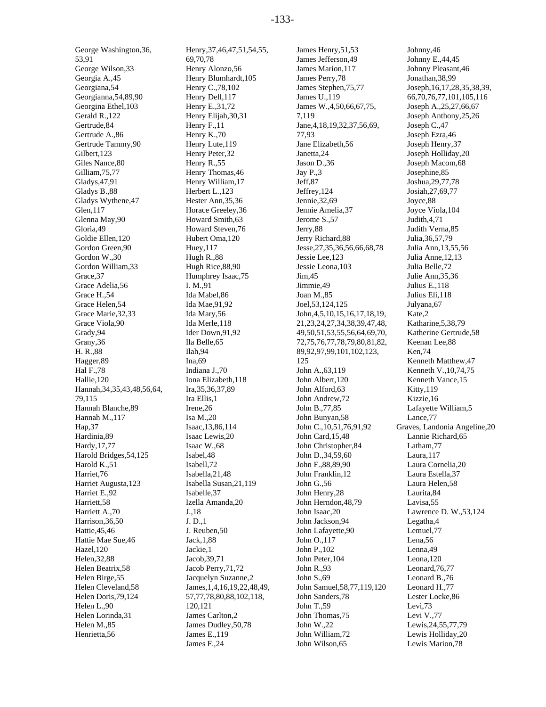George Washington,36, 53,91 George Wilson,33 Georgia A.,45 Georgiana,54 Georgianna,54,89,90 Georgina Ethel,103 Gerald R.,122 Gertrude,84 Gertrude A.,86 Gertrude Tammy,90 Gilbert,123 Giles Nance,80 Gilliam,75,77 Gladys,47,91 Gladys B.,88 Gladys Wythene,47 Glen,117 Glenna May,90 Gloria,49 Goldie Ellen,120 Gordon Green,90 Gordon W.,30 Gordon William,33 Grace,37 Grace Adelia,56 Grace H.,54 Grace Helen,54 Grace Marie,32,33 Grace Viola,90 Grady,94 Grany,36 H. R.,88 Hagger,89 Hal F.,78 Hallie,120 Hannah,34,35,43,48,56,64, 79,115 Hannah Blanche,89 Hannah M.,117 Hap,37 Hardinia,89 Hardy,17,77 Harold Bridges,54,125 Harold K.,51 Harriet,76 Harriet Augusta,123 Harriet E.,92 Harriett,58 Harriett A.,70 Harrison,36,50 Hattie,45,46 Hattie Mae Sue,46 Hazel,120 Helen,32,88 Helen Beatrix,58 Helen Birge,55 Helen Cleveland,58 Helen Doris,79,124 Helen L.,90 Helen Lorinda,31 Helen M.,85 Henrietta,56

Henry,37,46,47,51,54,55, 69,70,78 Henry Alonzo,56 Henry Blumhardt,105 Henry C.,78,102 Henry Dell,117 Henry E.,31,72 Henry Elijah,30,31 Henry F.,11 Henry K.,70 Henry Lute,119 Henry Peter,32 Henry R.,55 Henry Thomas,46 Henry William,17 Herbert L.,123 Hester Ann,35,36 Horace Greeley,36 Howard Smith,63 Howard Steven,76 Hubert Oma,120 Huey,117 Hugh R.,88 Hugh Rice,88,90 Humphrey Isaac,75 I. M.,91 Ida Mabel,86 Ida Mae,91,92 Ida Mary,56 Ida Merle,118 Ider Down,91,92 Ila Belle,65 Ilah,94 Ina,69 Indiana J.,70 Iona Elizabeth,118 Ira,35,36,37,89 Ira Ellis,1 Irene,26 Isa M.,20 Isaac,13,86,114 Isaac Lewis,20 Isaac W.,68 Isabel,48 Isabell,72 Isabella,21,48 Isabella Susan,21,119 Isabelle,37 Izella Amanda,20 J.,18 J. D.,1 J. Reuben,50 Jack,1,88 Jackie,1 Jacob,39,71 Jacob Perry,71,72 Jacquelyn Suzanne,2 James,1,4,16,19,22,48,49, 57,77,78,80,88,102,118, 120,121 James Carlton,2 James Dudley,50,78 James E.,119 James F.,24

James Henry,51,53 James Jefferson,49 James Marion,117 James Perry,78 James Stephen,75,77 James U.,119 James W.,4,50,66,67,75, 7,119 Jane,4,18,19,32,37,56,69, 77,93 Jane Elizabeth,56 Janetta,24 Jason D.,36 Jay P.,3 Jeff,87 Jeffrey,124 Jennie,32,69 Jennie Amelia,37 Jerome S.,57 Jerry,88 Jerry Richard,88 Jesse,27,35,36,56,66,68,78 Jessie Lee,123 Jessie Leona,103 Jim,45 Jimmie,49 Joan M.,85 Joel,53,124,125 John,4,5,10,15,16,17,18,19, 21,23,24,27,34,38,39,47,48, 49,50,51,53,55,56,64,69,70, 72,75,76,77,78,79,80,81,82, 89,92,97,99,101,102,123, 125 John A.,63,119 John Albert,120 John Alford,63 John Andrew,72 John B.,77,85 John Bunyan,58 John C.,10,51,76,91,92 John Card,15,48 John Christopher,84 John D.,34,59,60 John F.,88,89,90 John Franklin,12 John G.,56 John Henry,28 John Herndon,48,79 John Isaac,20 John Jackson,94 John Lafayette,90 John O.,117 John P.,102 John Peter,104 John R.,93 John S.,69 John Samuel,58,77,119,120 John Sanders,78 John T.,59 John Thomas,75 John W.,22 John William,72 John Wilson,65

Johnny,46 Johnny E.,44,45 Johnny Pleasant,46 Jonathan,38,99 Joseph,16,17,28,35,38,39, 66,70,76,77,101,105,116 Joseph A.,25,27,66,67 Joseph Anthony,25,26 Joseph C.,47 Joseph Ezra,46 Joseph Henry,37 Joseph Holliday,20 Joseph Macom,68 Josephine,85 Joshua,29,77,78 Josiah,27,69,77 Joyce,88 Joyce Viola,104 Judith,4,71 Judith Verna,85 Julia,36,57,79 Julia Ann,13,55,56 Julia Anne,12,13 Julia Belle,72 Julie Ann,35,36 Julius E.,118 Julius Eli,118 Julyana,67 Kate,2 Katharine,5,38,79 Katherine Gertrude,58 Keenan Lee,88 Ken,74 Kenneth Matthew,47 Kenneth V.,10,74,75 Kenneth Vance,15 Kitty,119 Kizzie,16 Lafayette William,5 Lance,77 Graves, Landonia Angeline,20 Lannie Richard,65 Latham,77 Laura,117 Laura Cornelia,20 Laura Estella,37 Laura Helen,58 Laurita,84 Lavisa,55 Lawrence D. W.,53,124 Legatha,4 Lemuel,77 Lena,56 Lenna,49 Leona,120 Leonard,76,77 Leonard B.,76 Leonard H.,77 Lester Locke,86 Levi,73 Levi V.,77 Lewis,24,55,77,79 Lewis Holliday,20 Lewis Marion,78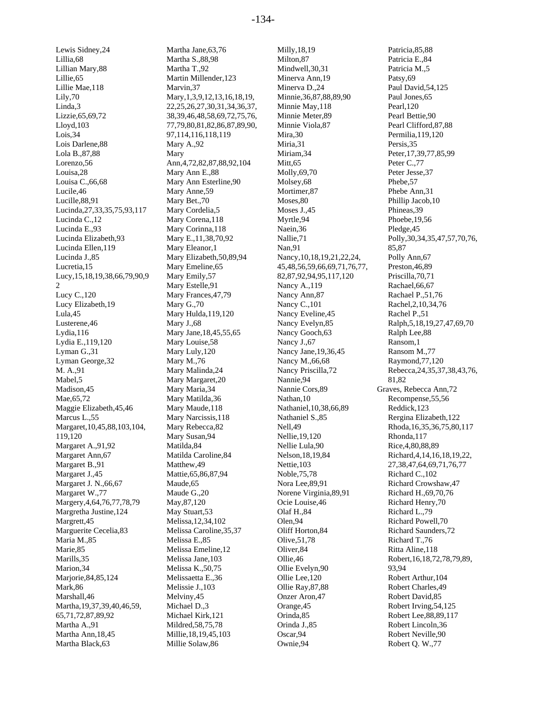Lewis Sidney,24 Lillian Mary,88 Lillie Mae,118 Lizzie,65,69,72 Lois Darlene,88 Lola B.,87,88 Louisa C.,66,68 Lucille,88,91 Lucinda,27,33,35,75,93,117 Lucinda C.,12 Lucinda E.,93 Lucinda Elizabeth,93 Lucinda Ellen,119 Lucinda J.,85 Lucy,15,18,19,38,66,79,90,9 Lucy Elizabeth,19 Lydia E.,119,120

Lillia,68

Lillie,65

Lily,70 Linda,3

Lloyd,103 Lois,34

Lorenzo,56 Louisa,28

Lucile,46

Lucretia,15

Lucy C.,120

Lyman G.,31 Lyman George,32 M. A.,91 Mabel,5 Madison,45 Mae,65,72

Marcus L.,55

Margaret A.,91,92 Margaret Ann,67 Margaret B.,91 Margaret J.,45 Margaret J. N.,66,67 Margaret W.,77

119,120

Margrett,45

Maria M.,85 Marie,85 Marills,35 Marion,34 Marjorie,84,85,124

Mark,86 Marshall,46

Maggie Elizabeth,45,46

Margaret,10,45,88,103,104,

Margery,4,64,76,77,78,79 Margretha Justine,124

Martha,19,37,39,40,46,59, 65,71,72,87,89,92 Martha A.,91 Martha Ann,18,45 Martha Black,63

Marguerite Cecelia,83

Lula,45 Lusterene,46 Lydia,116

 $\mathfrak{D}$ 

Martha Jane,63,76 Martha S.,88,98 Martha T.,92 Martin Millender,123 Marvin,37 Mary,1,3,9,12,13,16,18,19, 22,25,26,27,30,31,34,36,37, 38,39,46,48,58,69,72,75,76, 77,79,80,81,82,86,87,89,90, 97,114,116,118,119 Mary A.,92 Mary Ann,4,72,82,87,88,92,104 Mary Ann E.,88 Mary Ann Esterline,90 Mary Anne,59 Mary Bet.,70 Mary Cordelia,5 Mary Corena,118 Mary Corinna,118 Mary E.,11,38,70,92 Mary Eleanor,1 Mary Elizabeth,50,89,94 Mary Emeline,65 Mary Emily,57 Mary Estelle,91 Mary Frances,47,79 Mary G.,70 Mary Hulda,119,120 Mary J.,68 Mary Jane,18,45,55,65 Mary Louise,58 Mary Luly,120 Mary M.,76 Mary Malinda,24 Mary Margaret,20 Mary Maria,34 Mary Matilda,36 Mary Maude,118 Mary Narcissis,118 Mary Rebecca,82 Mary Susan,94 Matilda,84 Matilda Caroline,84 Matthew,49 Mattie,65,86,87,94 Maude,65 Maude G.,20 May,87,120 May Stuart,53 Melissa,12,34,102 Melissa Caroline,35,37 Melissa E.,85 Melissa Emeline,12 Melissa Jane,103 Melissa K.,50,75 Melissaetta E.,36 Melissie J.,103 Melviny,45 Michael D.,3 Michael Kirk,121 Mildred,58,75,78 Millie,18,19,45,103 Millie Solaw,86

Milly,18,19 Milton,87 Mindwell,30,31 Minerva Ann,19 Minerva D.,24 Minnie,36,87,88,89,90 Minnie May,118 Minnie Meter,89 Minnie Viola,87 Mira,30 Miria,31 Miriam,34 Mitt.65 Molly,69,70 Molsey,68 Mortimer,87 Moses,80 Moses J.,45 Myrtle,94 Naein,36 Nallie,71 Nan,91 Nancy,10,18,19,21,22,24, 45,48,56,59,66,69,71,76,77, 82,87,92,94,95,117,120 Nancy A.,119 Nancy Ann,87 Nancy C.,101 Nancy Eveline,45 Nancy Evelyn,85 Nancy Gooch,63 Nancy J.,67 Nancy Jane,19,36,45 Nancy M.,66,68 Nancy Priscilla,72 Nannie,94 Nannie Cors,89 Nathan, 10 Nathaniel,10,38,66,89 Nathaniel S.,85 Nell,49 Nellie,19,120 Nellie Lula,90 Nelson,18,19,84 Nettie,103 Noble,75,78 Nora Lee,89,91 Norene Virginia,89,91 Ocie Louise,46 Olaf H.,84 Olen,94 Oliff Horton,84 Olive,51,78 Oliver,84 Ollie,46 Ollie Evelyn,90 Ollie Lee,120 Ollie Ray,87,88 Onzer Aron,47 Orange,45 Orinda,85 Orinda J.,85 Oscar,94 Ownie,94

Patricia,85,88 Patricia E.,84 Patricia M.,5 Patsy,69 Paul David,54,125 Paul Jones,65 Pearl,120 Pearl Bettie,90 Pearl Clifford,87,88 Permilia,119,120 Persis,35 Peter,17,39,77,85,99 Peter C.,77 Peter Jesse,37 Phebe,57 Phebe Ann,31 Phillip Jacob,10 Phineas,39 Phoebe,19,56 Pledge,45 Polly,30,34,35,47,57,70,76, 85,87 Polly Ann,67 Preston,46,89 Priscilla,70,71 Rachael,66,67 Rachael P.,51,76 Rachel,2,10,34,76 Rachel P.,51 Ralph,5,18,19,27,47,69,70 Ralph Lee,88 Ransom,1 Ransom M.,77 Raymond,77,120 Rebecca,24,35,37,38,43,76, 81,82 Graves, Rebecca Ann,72 Recompense,55,56 Reddick,123 Rergina Elizabeth,122 Rhoda,16,35,36,75,80,117 Rhonda,117 Rice,4,80,88,89 Richard,4,14,16,18,19,22, 27,38,47,64,69,71,76,77 Richard C.,102 Richard Crowshaw,47 Richard H.,69,70,76 Richard Henry,70 Richard L.,79 Richard Powell,70 Richard Saunders,72 Richard T.,76 Ritta Aline,118 Robert,16,18,72,78,79,89, 93,94 Robert Arthur,104 Robert Charles,49 Robert David,85 Robert Irving,54,125 Robert Lee,88,89,117 Robert Lincoln,36 Robert Neville,90 Robert Q. W.,77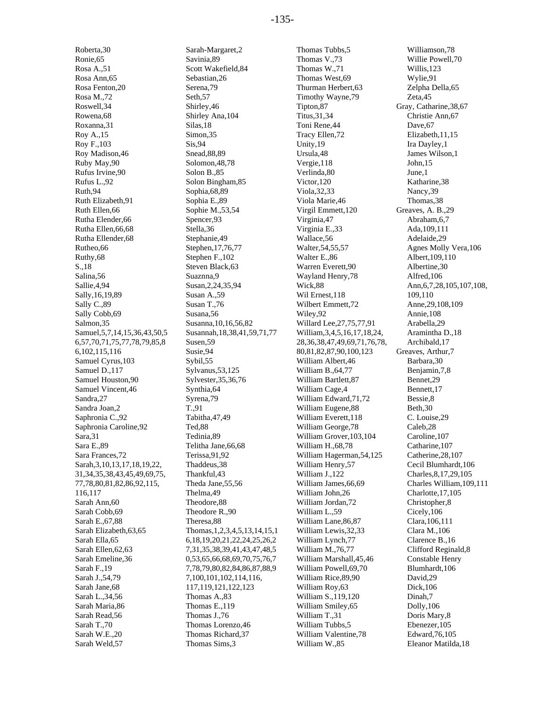Roberta,30 Ronie,65 Rosa A.,51 Rosa Ann,65 Rosa Fenton,20 Rosa M.,72 Roswell,34 Rowena,68 Roxanna,31 Roy A.,15 Roy F.,103 Roy Madison,46 Ruby May,90 Rufus Irvine,90 Rufus L.,92 Ruth,94 Ruth Elizabeth,91 Ruth Ellen,66 Rutha Elender,66 Rutha Ellen,66,68 Rutha Ellender,68 Rutheo,66 Ruthy,68 S.,18 Salina,56 Sallie,4,94 Sally,16,19,89 Sally C.,89 Sally Cobb,69 Salmon,35 Samuel,5,7,14,15,36,43,50,5 6,57,70,71,75,77,78,79,85,8 6,102,115,116 Samuel Cyrus,103 Samuel D.,117 Samuel Houston,90 Samuel Vincent,46 Sandra,27 Sandra Joan,2 Saphronia C.,92 Saphronia Caroline,92 Sara,31 Sara E.,89 Sara Frances,72 Sarah,3,10,13,17,18,19,22, 31,34,35,38,43,45,49,69,75, 77,78,80,81,82,86,92,115, 116,117 Sarah Ann,60 Sarah Cobb,69 Sarah E.,67,88 Sarah Elizabeth,63,65 Sarah Ella,65 Sarah Ellen,62,63 Sarah Emeline,36 Sarah F.,19 Sarah J.,54,79 Sarah Jane,68 Sarah L.,34,56 Sarah Maria,86 Sarah Read,56 Sarah T.,70 Sarah W.E.,20 Sarah Weld,57

Sarah-Margaret,2 Savinia,89 Scott Wakefield,84 Sebastian,26 Serena,79 Seth,57 Shirley,46 Shirley Ana,104 Silas,18 Simon,35 Sis,94 Snead,88,89 Solomon,48,78 Solon B.,85 Solon Bingham,85 Sophia,68,89 Sophia E.,89 Sophie M.,53,54 Spencer,93 Stella,36 Stephanie,49 Stephen,17,76,77 Stephen F.,102 Steven Black,63 Suaznna,9 Susan,2,24,35,94 Susan A.,59 Susan T.,76 Susana,56 Susanna,10,16,56,82 Susannah,18,38,41,59,71,77 Susen,59 Susie,94 Sybil,55 Sylvanus,53,125 Sylvester,35,36,76 Synthia,64 Syrena,79 T.,91 Tabitha,47,49 Ted,88 Tedinia,89 Telitha Jane,66,68 Terissa,91,92 Thaddeus,38 Thankful,43 Theda Jane,55,56 Thelma,49 Theodore,88 Theodore R.,90 Theresa,88 Thomas,1,2,3,4,5,13,14,15,1 6,18,19,20,21,22,24,25,26,2 7,31,35,38,39,41,43,47,48,5 0,53,65,66,68,69,70,75,76,7 7,78,79,80,82,84,86,87,88,9 7,100,101,102,114,116, 117,119,121,122,123 Thomas A.,83 Thomas E.,119 Thomas J.,76 Thomas Lorenzo,46 Thomas Richard,37 Thomas Sims,3

Thomas Tubbs,5 Thomas V.,73 Thomas W.,71 Thomas West,69 Thurman Herbert,63 Timothy Wayne,79 Tipton,87 Titus,31,34 Toni Rene,44 Tracy Ellen,72 Unity,19 Ursula,48 Vergie,118 Verlinda,80 Victor,120 Viola,32,33 Viola Marie,46 Virgil Emmett,120 Virginia,47 Virginia E.,33 Wallace,56 Walter,54,55,57 Walter E.,86 Warren Everett,90 Wayland Henry,78 Wick,88 Wil Ernest,118 Wilbert Emmett,72 Wiley,92 Willard Lee,27,75,77,91 William,3,4,5,16,17,18,24, 28,36,38,47,49,69,71,76,78, 80,81,82,87,90,100,123 William Albert,46 William B.,64,77 William Bartlett,87 William Cage,4 William Edward,71,72 William Eugene,88 William Everett,118 William George,78 William Grover,103,104 William H.,68,78 William Hagerman,54,125 William Henry,57 William J.,122 William James,66,69 William John,26 William Jordan,72 William L.,59 William Lane,86,87 William Lewis,32,33 William Lynch,77 William M.,76,77 William Marshall,45,46 William Powell,69,70 William Rice,89,90 William Roy,63 William S.,119,120 William Smiley,65 William T.,31 William Tubbs,5 William Valentine,78 William W.,85

Williamson,78 Willie Powell,70 Willis,123 Wylie,91 Zelpha Della,65 Zeta,45 Gray, Catharine,38,67 Christie Ann,67 Dave<sub>.67</sub> Elizabeth,11,15 Ira Dayley,1 James Wilson,1 John,15 June,1 Katharine,38 Nancy,39 Thomas,38 Greaves, A. B.,29 Abraham,6,7 Ada,109,111 Adelaide,29 Agnes Molly Vera,106 Albert,109,110 Albertine,30 Alfred,106 Ann,6,7,28,105,107,108, 109,110 Anne,29,108,109 Annie,108 Arabella,29 Aramintha D.,18 Archibald,17 Greaves, Arthur,7 Barbara,30 Benjamin,7,8 Bennet,29 Bennett,17 Bessie,8 Beth,30 C. Louise,29 Caleb,28 Caroline,107 Catharine,107 Catherine,28,107 Cecil Blumhardt,106 Charles,8,17,29,105 Charles William,109,111 Charlotte,17,105 Christopher,8 Cicely,106 Clara,106,111 Clara M.,106 Clarence B.,16 Clifford Reginald,8 Constable Henry Blumhardt,106 David,29 Dick,106 Dinah,7 Dolly,106 Doris Mary,8 Ebenezer,105 Edward,76,105 Eleanor Matilda,18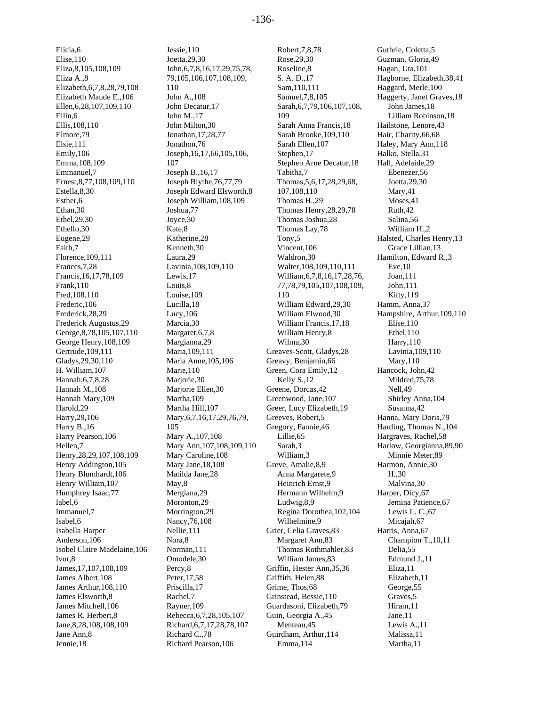Elicia,6 Elise,110 Eliza,8,105,108,109 Eliza A.,8 Elizabeth,6,7,8,28,79,108 Elizabeth Maude E.,106 Ellen,6,28,107,109,110 Ellin,6 Ellis,108,110 Elmore,79 Elsie,111 Emily,106 Emma,108,109 Emmanuel,7 Ernest,8,77,108,109,110 Estella,8,30 Esther,6 Ethan,30 Ethel,29,30 Ethello,30 Eugene,29 Faith,7 Florence,109,111 Frances,7,28 Francis,16,17,78,109 Frank,110 Fred,108,110 Frederic,106 Frederick,28,29 Frederick Augustus,29 George,8,78,105,107,110 George Henry,108,109 Gertrude,109,111 Gladys,29,30,110 H. William,107 Hannah,6,7,8,28 Hannah M.,108 Hannah Mary,109 Harold,29 Harry,29,106 Harry B.,16 Harry Pearson,106 Hellen,7 Henry,28,29,107,108,109 Henry Addington,105 Henry Blumhardt,106 Henry William,107 Humphrey Isaac,77 Iabel,6 Immanuel,7 Isabel,6 Isabella Harper Anderson,106 Isobel Claire Madelaine,106 Ivor,8 James,17,107,108,109 James Albert,108 James Arthur,108,110 James Elsworth,8 James Mitchell,106 James R. Herbert,8 Jane,8,28,108,108,109

Jane Ann,8 Jennie,18

Jessie,110 Joetta,29,30 John,6,7,8,16,17,29,75,78, 79,105,106,107,108,109, 110 John A.,108 John Decatur,17 John M.,17 John Milton,30 Jonathan,17,28,77 Jonathon,76 Joseph,16,17,66,105,106, 107 Joseph B.,16,17 Joseph Blythe,76,77,79 Joseph Edward Elsworth,8 Joseph William,108,109 Joshua,77 Joyce,30 Kate,8 Katherine,28 Kenneth,30 Laura,29 Lavinia,108,109,110 Lewis,17 Louis,8 Louise,109 Lucilla,18 Lucy,106 Marcia,30 Margaret,6,7,8 Margianna,29 Maria,109,111 Maria Anne,105,106 Marie,110 Marjorie,30 Marjorie Ellen,30 Martha,109 Martha Hill,107 Mary,6,7,16,17,29,76,79, 105 Mary A.,107,108 Mary Ann,107,108,109,110 Mary Caroline,108 Mary Jane,18,108 Matilda Jane,28 May,8 Mergiana,29 Moronton,29 Morrington,29 Nancy,76,108 Nellie,111 Nora,8 Norman,111 Omodele,30 Percy,8 Peter,17,58 Priscilla,17 Rachel,7 Rayner,109 Rebecca,6,7,28,105,107 Richard,6,7,17,28,78,107 Richard C.,78 Richard Pearson,106

Robert,7,8,78 Rose,29,30 Roseline,8 S. A. D.,17 Sam,110,111 Samuel,7,8,105 Sarah,6,7,79,106,107,108, 109 Sarah Anna Francis,18 Sarah Brooke,109,110 Sarah Ellen,107 Stephen,17 Stephen Arne Decatur,18 Tabitha,7 Thomas,5,6,17,28,29,68, 107,108,110 Thomas H.,29 Thomas Henry,28,29,78 Thomas Joshua,28 Thomas Lay,78 Tony,5 Vincent,106 Waldron,30 Walter,108,109,110,111 William,6,7,8,16,17,28,76, 77,78,79,105,107,108,109, 110 William Edward,29,30 William Elwood,30 William Francis,17,18 William Henry,8 Wilma,30 Greaves-Scott, Gladys,28 Greavy, Benjamin,66 Green, Cora Emily,12 Kelly S.,12 Greene, Dorcas,42 Greenwood, Jane,107 Greer, Lucy Elizabeth,19 Greeves, Robert,5 Gregory, Fannie,46 Lillie,65 Sarah,3 William,3 Greve, Amalie,8,9 Anna Margarete,9 Heinrich Ernst,9 Hermann Wilhelm,9 Ludwig,8,9 Regina Dorothea,102,104 Wilhelmine,9 Grier, Celia Graves,83 Margaret Ann,83 Thomas Rothmahler,83 William James,83 Griffin, Hester Ann,35,36 Griffith, Helen,88 Grime, Thos,68 Grinstead, Bessie,110 Guardasoni, Elizabeth,79 Guin, Georgia A.,45 Menteau,45 Guirdham, Arthur,114 Emma,114

Guthrie, Coletta,5 Guzman, Gloria,49 Hagan, Uta,101 Hagborne, Elizabeth,38,41 Haggard, Merle,100 Haggerty, Janet Graves,18 John James,18 Lilliam Robinson,18 Hailstone, Lenore,43 Hair, Charity,66,68 Haley, Mary Ann,118 Halko, Stella,31 Hall, Adelaide,29 Ebenezer,56 Joetta,29,30 Mary,41 Moses,41 Ruth,42 Salina,56 William H.,2 Halsted, Charles Henry,13 Grace Lillian,13 Hamilton, Edward R.,3 Eve,10 Joan,111 John,111 Kitty,119 Hamm, Anna,37 Hampshire, Arthur,109,110 Elise,110 Ethel,110 Harry,110 Lavinia,109,110 Mary,110 Hancock, John,42 Mildred,75,78 Nell,49 Shirley Anna,104 Susanna,42 Hanna, Mary Doris,79 Harding, Thomas N.,104 Hargraves, Rachel,58 Harlow, Georgianna,89,90 Minnie Meter,89 Harmon, Annie,30 H.,30 Malvina,30 Harper, Dicy,67 Jemina Patience,67 Lewis L. C.,67 Micajah,67 Harris, Anna,67 Champion T.,10,11 Delia,55 Edmund J.,11 Eliza,11 Elizabeth,11 George,55 Graves,5 Hiram,11 Jane,11 Lewis A.,11 Malissa,11 Martha,11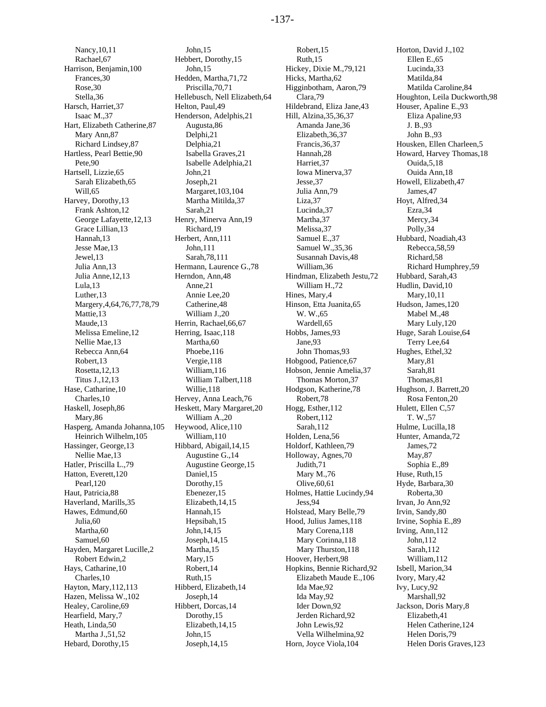Nancy,10,11 Rachael,67 Harrison, Benjamin,100 Frances,30 Rose,30 Stella,36 Harsch, Harriet,37 Isaac M.,37 Hart, Elizabeth Catherine,87 Mary Ann,87 Richard Lindsey,87 Hartless, Pearl Bettie,90 Pete, 90 Hartsell, Lizzie,65 Sarah Elizabeth,65 Will,65 Harvey, Dorothy,13 Frank Ashton,12 George Lafayette,12,13 Grace Lillian,13 Hannah,13 Jesse Mae,13 Jewel,13 Julia Ann,13 Julia Anne,12,13 Lula,13 Luther,13 Margery,4,64,76,77,78,79 Mattie,13 Maude,13 Melissa Emeline,12 Nellie Mae,13 Rebecca Ann,64 Robert,13 Rosetta,12,13 Titus J.,12,13 Hase, Catharine,10 Charles,10 Haskell, Joseph,86 Mary,86 Hasperg, Amanda Johanna,105 Heinrich Wilhelm,105 Hassinger, George,13 Nellie Mae,13 Hatler, Priscilla L.,79 Hatton, Everett,120 Pearl,120 Haut, Patricia,88 Haverland, Marills,35 Hawes, Edmund,60 Julia,60 Martha,60 Samuel,60 Hayden, Margaret Lucille,2 Robert Edwin,2 Hays, Catharine,10 Charles,10 Hayton, Mary,112,113 Hazen, Melissa W.,102 Healey, Caroline,69 Hearfield, Mary,7 Heath, Linda,50 Martha J.,51,52 Hebard, Dorothy,15

John,15 Hebbert, Dorothy,15 John,15 Hedden, Martha,71,72 Priscilla,70,71 Hellebusch, Nell Elizabeth,64 Helton, Paul,49 Henderson, Adelphis,21 Augusta,86 Delphi,21 Delphia,21 Isabella Graves,21 Isabelle Adelphia,21 John,21 Joseph,21 Margaret,103,104 Martha Mitilda,37 Sarah,21 Henry, Minerva Ann,19 Richard,19 Herbert, Ann,111 John,111 Sarah,78,111 Hermann, Laurence G.,78 Herndon, Ann,48 Anne, 21 Annie Lee,20 Catherine,48 William J.,20 Herrin, Rachael,66,67 Herring, Isaac,118 Martha,60 Phoebe,116 Vergie,118 William,116 William Talbert,118 Willie,118 Hervey, Anna Leach,76 Heskett, Mary Margaret,20 William A.,20 Heywood, Alice,110 William,110 Hibbard, Abigail,14,15 Augustine G.,14 Augustine George,15 Daniel,15 Dorothy,15 Ebenezer,15 Elizabeth,14,15 Hannah,15 Hepsibah,15 John,14,15 Joseph,14,15 Martha,15 Mary,15 Robert,14 Ruth,15 Hibberd, Elizabeth,14 Joseph,14 Hibbert, Dorcas,14 Dorothy,15 Elizabeth,14,15 John,15 Joseph,14,15

Robert,15 Ruth,15 Hickey, Dixie M.,79,121 Hicks, Martha,62 Higginbotham, Aaron,79 Clara,79 Hildebrand, Eliza Jane,43 Hill, Alzina,35,36,37 Amanda Jane,36 Elizabeth,36,37 Francis,36,37 Hannah,28 Harriet,37 Iowa Minerva,37 Jesse,37 Julia Ann,79 Liza,37 Lucinda,37 Martha,37 Melissa,37 Samuel E.,37 Samuel W.,35,36 Susannah Davis,48 William,36 Hindman, Elizabeth Jestu,72 William H.,72 Hines, Mary,4 Hinson, Etta Juanita,65 W. W.,65 Wardell,65 Hobbs, James,93 Jane,93 John Thomas,93 Hobgood, Patience,67 Hobson, Jennie Amelia,37 Thomas Morton,37 Hodgson, Katherine,78 Robert,78 Hogg, Esther,112 Robert,112 Sarah,112 Holden, Lena,56 Holdorf, Kathleen,79 Holloway, Agnes,70 Judith,71 Mary M.,76 Olive,60,61 Holmes, Hattie Lucindy,94 Jess,94 Holstead, Mary Belle,79 Hood, Julius James,118 Mary Corena,118 Mary Corinna,118 Mary Thurston,118 Hoover, Herbert,98 Hopkins, Bennie Richard,92 Elizabeth Maude E.,106 Ida Mae,92 Ida May,92 Ider Down,92 Jerden Richard,92 John Lewis,92 Vella Wilhelmina,92 Horn, Joyce Viola,104

Horton, David J.,102 Ellen E.,65 Lucinda,33 Matilda,84 Matilda Caroline,84 Houghton, Leila Duckworth,98 Houser, Apaline E.,93 Eliza Apaline,93 J. B.,93 John B.,93 Housken, Ellen Charleen,5 Howard, Harvey Thomas,18 Ouida,5,18 Ouida Ann,18 Howell, Elizabeth,47 James,47 Hoyt, Alfred,34 Ezra,34 Mercy,34 Polly,34 Hubbard, Noadiah,43 Rebecca,58,59 Richard,58 Richard Humphrey,59 Hubbard, Sarah,43 Hudlin, David,10 Mary,10,11 Hudson, James,120 Mabel M.,48 Mary Luly,120 Huge, Sarah Louise,64 Terry Lee,64 Hughes, Ethel,32 Mary,81 Sarah,81 Thomas,81 Hughson, J. Barrett,20 Rosa Fenton,20 Hulett, Ellen C,57 T. W.,57 Hulme, Lucilla,18 Hunter, Amanda,72 James,72 May,87 Sophia E.,89 Huse, Ruth,15 Hyde, Barbara,30 Roberta,30 Irvan, Jo Ann,92 Irvin, Sandy,80 Irvine, Sophia E.,89 Irving, Ann,112 John,112 Sarah,112 William,112 Isbell, Marion,34 Ivory, Mary,42 Ivy, Lucy,92 Marshall,92 Jackson, Doris Mary,8 Elizabeth,41 Helen Catherine,124 Helen Doris,79 Helen Doris Graves,123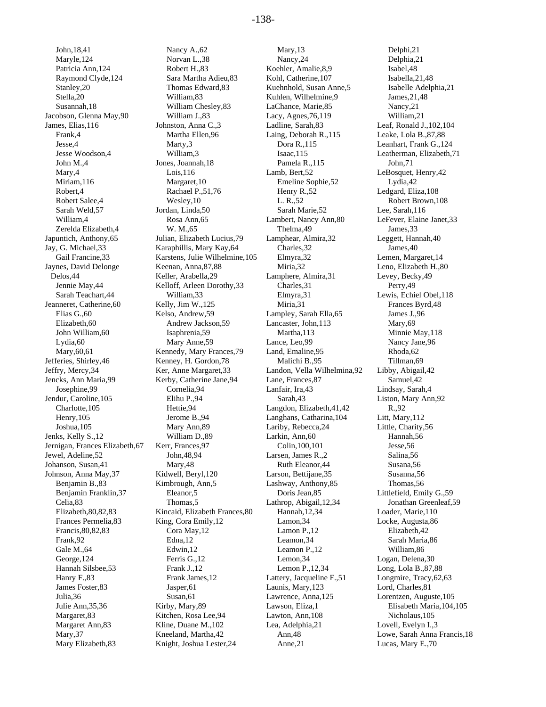John,18,41 Maryle,124 Patricia Ann,124 Raymond Clyde,124 Stanley,20 Stella,20 Susannah,18 Jacobson, Glenna May,90 James, Elias,116 Frank,4 Jesse,4 Jesse Woodson,4 John M.,4 Mary,4 Miriam,116 Robert,4 Robert Salee,4 Sarah Weld,57 William,4 Zerelda Elizabeth,4 Japuntich, Anthony,65 Jay, G. Michael,33 Gail Francine,33 Jaynes, David Delonge Delos,44 Jennie May,44 Sarah Teachart,44 Jeanneret, Catherine,60 Elias G.,60 Elizabeth,60 John William,60 Lydia,60 Mary,60,61 Jefferies, Shirley,46 Jeffry, Mercy,34 Jencks, Ann Maria,99 Josephine,99 Jendur, Caroline,105 Charlotte,105 Henry,105 Joshua,105 Jenks, Kelly S.,12 Jernigan, Frances Elizabeth,67 Jewel, Adeline,52 Johanson, Susan,41 Johnson, Anna May,37 Benjamin B.,83 Benjamin Franklin,37 Celia,83 Elizabeth,80,82,83 Frances Permelia,83 Francis,80,82,83 Frank,92 Gale M.,64 George,124 Hannah Silsbee,53 Hanry F.,83 James Foster,83 Julia,36 Julie Ann,35,36 Margaret,83 Margaret Ann,83 Mary,37 Mary Elizabeth,83

Nancy A.,62 Norvan L.,38 Robert H.,83 Sara Martha Adieu,83 Thomas Edward,83 William,83 William Chesley,83 William J.,83 Johnston, Anna C.,3 Martha Ellen,96 Marty,3 William,3 Jones, Joannah,18 Lois,116 Margaret,10 Rachael P.,51,76 Wesley,10 Jordan, Linda,50 Rosa Ann,65 W. M.,65 Julian, Elizabeth Lucius,79 Karaphillis, Mary Kay,64 Karstens, Julie Wilhelmine,105 Keenan, Anna,87,88 Keller, Arabella,29 Kelloff, Arleen Dorothy,33 William,33 Kelly, Jim W.,125 Kelso, Andrew,59 Andrew Jackson,59 Isaphrenia,59 Mary Anne,59 Kennedy, Mary Frances,79 Kenney, H. Gordon,78 Ker, Anne Margaret,33 Kerby, Catherine Jane,94 Cornelia,94 Elihu P.,94 Hettie,94 Jerome B.,94 Mary Ann,89 William D.,89 Kerr, Frances,97 John,48,94 Mary,48 Kidwell, Beryl,120 Kimbrough, Ann,5 Eleanor,5 Thomas,5 Kincaid, Elizabeth Frances,80 King, Cora Emily,12 Cora May,12 Edna,12 Edwin,12 Ferris G.,12 Frank J.,12 Frank James,12 Jasper,61 Susan,61 Kirby, Mary,89 Kitchen, Rosa Lee,94 Kline, Duane M.,102 Kneeland, Martha,42 Knight, Joshua Lester,24

Mary,13 Nancy,24 Koehler, Amalie,8,9 Kohl, Catherine,107 Kuehnhold, Susan Anne,5 Kuhlen, Wilhelmine,9 LaChance, Marie,85 Lacy, Agnes,76,119 Ladline, Sarah,83 Laing, Deborah R.,115 Dora R.,115 Isaac,115 Pamela R.,115 Lamb, Bert,52 Emeline Sophie,52 Henry R.,52 L. R.,52 Sarah Marie,52 Lambert, Nancy Ann,80 Thelma,49 Lamphear, Almira,32 Charles,32 Elmyra,32 Miria,32 Lamphere, Almira,31 Charles,31 Elmyra,31 Miria,31 Lampley, Sarah Ella,65 Lancaster, John,113 Martha,113 Lance, Leo,99 Land, Emaline,95 Malichi B.,95 Landon, Vella Wilhelmina,92 Lane, Frances,87 Lanfair, Ira,43 Sarah<sub>43</sub> Langdon, Elizabeth,41,42 Langhans, Catharina,104 Lariby, Rebecca,24 Larkin, Ann,60 Colin,100,101 Larsen, James R.,2 Ruth Eleanor,44 Larson, Bettijane,35 Lashway, Anthony,85 Doris Jean,85 Lathrop, Abigail,12,34 Hannah,12,34 Lamon,34 Lamon P.,12 Leamon,34 Leamon P.,12 Lemon,34 Lemon P.,12,34 Lattery, Jacqueline F.,51 Launis, Mary,123 Lawrence, Anna,125 Lawson, Eliza,1 Lawton, Ann,108 Lea, Adelphia,21 Ann,48 Anne,21

Delphi,21 Delphia,21 Isabel,48 Isabella,21,48 Isabelle Adelphia,21 James,21,48 Nancy,21 William,21 Leaf, Ronald J.,102,104 Leake, Lola B.,87,88 Leanhart, Frank G.,124 Leatherman, Elizabeth,71 John,71 LeBosquet, Henry,42 Lydia,42 Ledgard, Eliza,108 Robert Brown,108 Lee, Sarah,116 LeFever, Elaine Janet,33 James,33 Leggett, Hannah,40 James,40 Lemen, Margaret,14 Leno, Elizabeth H.,80 Levey, Becky,49 Perry,49 Lewis, Echiel Obel,118 Frances Byrd,48 James J.,96 Mary,69 Minnie May,118 Nancy Jane,96 Rhoda,62 Tillman,69 Libby, Abigail,42 Samuel,42 Lindsay, Sarah,4 Liston, Mary Ann,92 R.,92 Litt, Mary,112 Little, Charity,56 Hannah,56 Jesse,56 Salina,56 Susana,56 Susanna,56 Thomas,56 Littlefield, Emily G.,59 Jonathan Greenleaf,59 Loader, Marie,110 Locke, Augusta,86 Elizabeth,42 Sarah Maria,86 William,86 Logan, Delena,30 Long, Lola B.,87,88 Longmire, Tracy,62,63 Lord, Charles,81 Lorentzen, Auguste,105 Elisabeth Maria,104,105 Nicholaus,105 Lovell, Evelyn I.,3 Lowe, Sarah Anna Francis,18 Lucas, Mary E.,70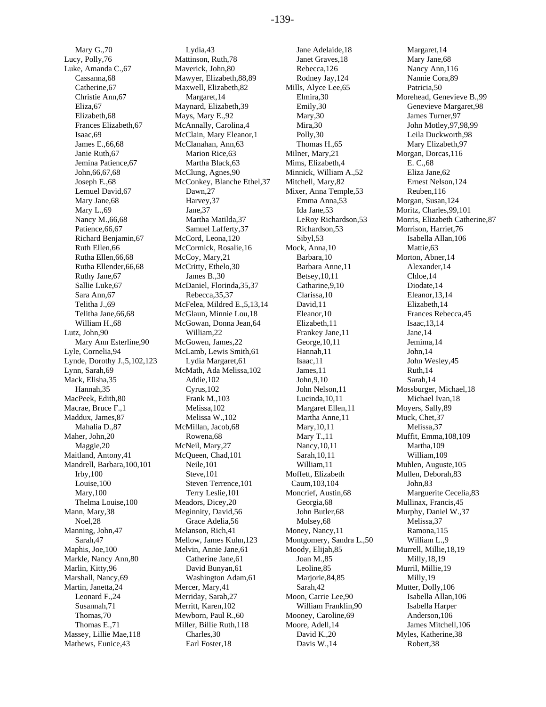Mary G.,70 Lucy, Polly,76 Luke, Amanda C.,67 Cassanna,68 Catherine,67 Christie Ann,67 Eliza,67 Elizabeth,68 Frances Elizabeth,67 Isaac,69 James E.,66,68 Janie Ruth,67 Jemina Patience,67 John,66,67,68 Joseph E.,68 Lemuel David,67 Mary Jane,68 Mary L.,69 Nancy M.,66,68 Patience,66,67 Richard Benjamin,67 Ruth Ellen,66 Rutha Ellen,66,68 Rutha Ellender,66,68 Ruthy Jane,67 Sallie Luke,67 Sara Ann,67 Telitha J.,69 Telitha Jane,66,68 William H.,68 Lutz, John,90 Mary Ann Esterline,90 Lyle, Cornelia,94 Lynde, Dorothy J.,5,102,123 Lynn, Sarah,69 Mack, Elisha,35 Hannah,35 MacPeek, Edith,80 Macrae, Bruce F.,1 Maddux, James,87 Mahalia D.,87 Maher, John,20 Maggie,20 Maitland, Antony,41 Mandrell, Barbara,100,101 Irby,100 Louise,100 Mary,100 Thelma Louise,100 Mann, Mary,38 Noel,28 Manning, John,47 Sarah,47 Maphis, Joe,100 Markle, Nancy Ann,80 Marlin, Kitty,96 Marshall, Nancy,69 Martin, Janetta,24 Leonard F.,24 Susannah,71 Thomas,70 Thomas E.,71 Massey, Lillie Mae,118 Mathews, Eunice,43

Lydia,43 Mattinson, Ruth,78 Maverick, John,80 Mawyer, Elizabeth,88,89 Maxwell, Elizabeth,82 Margaret,14 Maynard, Elizabeth,39 Mays, Mary E.,92 McAnnally, Carolina,4 McClain, Mary Eleanor,1 McClanahan, Ann,63 Marion Rice,63 Martha Black,63 McClung, Agnes,90 McConkey, Blanche Ethel,37 Dawn,27 Harvey,37 Jane,37 Martha Matilda,37 Samuel Lafferty,37 McCord, Leona,120 McCormick, Rosalie,16 McCoy, Mary,21 McCritty, Ethelo,30 James B.,30 McDaniel, Florinda,35,37 Rebecca,35,37 McFelea, Mildred E.,5,13,14 McGlaun, Minnie Lou,18 McGowan, Donna Jean,64 William,22 McGowen, James,22 McLamb, Lewis Smith,61 Lydia Margaret,61 McMath, Ada Melissa,102 Addie,102 Cyrus,102 Frank M.,103 Melissa,102 Melissa W.,102 McMillan, Jacob,68 Rowena,68 McNeil, Mary,27 McQueen, Chad,101 Neile,101 Steve,101 Steven Terrence,101 Terry Leslie,101 Meadors, Dicey,20 Meginnity, David,56 Grace Adelia,56 Melanson, Rich,41 Mellow, James Kuhn,123 Melvin, Annie Jane,61 Catherine Jane,61 David Bunyan,61 Washington Adam,61 Mercer, Mary,41 Merriday, Sarah,27 Merritt, Karen,102 Mewborn, Paul R.,60 Miller, Billie Ruth,118 Charles,30 Earl Foster,18

Jane Adelaide,18 Janet Graves,18 Rebecca,126 Rodney Jay,124 Mills, Alyce Lee,65 Elmira,30 Emily,30 Mary,30 Mira,30 Polly,30 Thomas H.,65 Milner, Mary,21 Mims, Elizabeth,4 Minnick, William A.,52 Mitchell, Mary,82 Mixer, Anna Temple,53 Emma Anna,53 Ida Jane,53 LeRoy Richardson,53 Richardson,53 Sibyl,53 Mock, Anna,10 Barbara,10 Barbara Anne,11 Betsey,10,11 Catharine,9,10 Clarissa,10 David,11 Eleanor,10 Elizabeth,11 Frankey Jane,11 George,10,11 Hannah,11 Isaac,11 James,11 John,9,10 John Nelson,11 Lucinda,10,11 Margaret Ellen,11 Martha Anne,11 Mary,10,11 Mary T.,11 Nancy,10,11 Sarah,10,11 William,11 Moffett, Elizabeth Caum,103,104 Moncrief, Austin,68 Georgia,68 John Butler,68 Molsey,68 Money, Nancy,11 Montgomery, Sandra L.,50 Moody, Elijah,85 Joan M.,85 Leoline,85 Mariorie, 84, 85 Sarah,42 Moon, Carrie Lee,90 William Franklin,90 Mooney, Caroline,69 Moore, Adell,14 David K.,20 Davis W.,14

Margaret,14 Mary Jane,68 Nancy Ann,116 Nannie Cora,89 Patricia,50 Morehead, Genevieve B.,99 Genevieve Margaret,98 James Turner,97 John Motley,97,98,99 Leila Duckworth,98 Mary Elizabeth,97 Morgan, Dorcas,116 E. C.,68 Eliza Jane,62 Ernest Nelson,124 Reuben,116 Morgan, Susan,124 Moritz, Charles,99,101 Morris, Elizabeth Catherine,87 Morrison, Harriet,76 Isabella Allan,106 Mattie,63 Morton, Abner,14 Alexander,14 Chloe,14 Diodate,14 Eleanor,13,14 Elizabeth,14 Frances Rebecca,45 Isaac,13,14 Jane,14 Jemima,14 John,14 John Wesley,45 Ruth,14 Sarah,14 Mossburger, Michael,18 Michael Ivan,18 Moyers, Sally,89 Muck, Chet,37 Melissa,37 Muffit, Emma,108,109 Martha,109 William,109 Muhlen, Auguste,105 Mullen, Deborah,83 John,83 Marguerite Cecelia,83 Mullinax, Francis,45 Murphy, Daniel W.,37 Melissa,37 Ramona,115 William L.,9 Murrell, Millie,18,19 Milly,18,19 Murril, Millie,19 Milly,19 Mutter, Dolly,106 Isabella Allan,106 Isabella Harper Anderson,106 James Mitchell,106 Myles, Katherine,38 Robert,38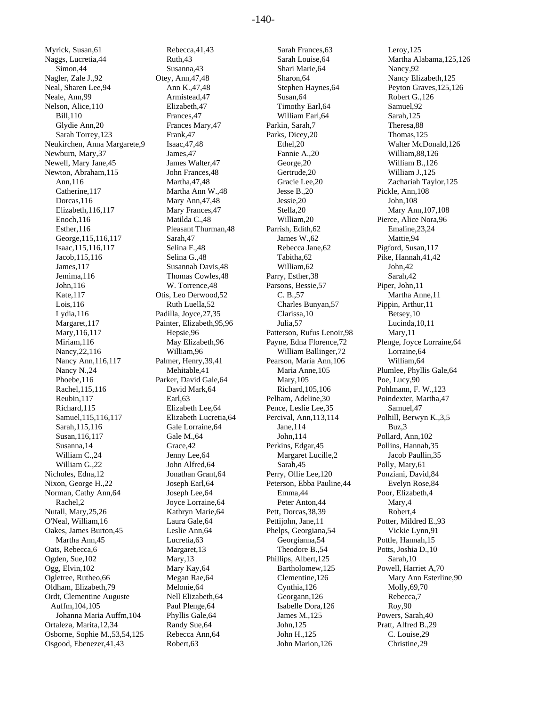Myrick, Susan,61 Naggs, Lucretia,44 Simon,44 Nagler, Zale J.,92 Neal, Sharen Lee,94 Neale, Ann,99 Nelson, Alice,110 Bill,110 Glydie Ann,20 Sarah Torrey,123 Neukirchen, Anna Margarete,9 Newburn, Mary,37 Newell, Mary Jane,45 Newton, Abraham,115 Ann,116 Catherine,117 Dorcas,116 Elizabeth,116,117 Enoch,116 Esther,116 George,115,116,117 Isaac,115,116,117 Jacob,115,116 James,117 Jemima,116 John,116 Kate,117 Lois,116 Lydia,116 Margaret,117 Mary,116,117 Miriam,116 Nancy,22,116 Nancy Ann,116,117 Nancy N.,24 Phoebe,116 Rachel,115,116 Reubin,117 Richard,115 Samuel,115,116,117 Sarah,115,116 Susan,116,117 Susanna,14 William C.,24 William G.,22 Nicholes, Edna,12 Nixon, George H.,22 Norman, Cathy Ann,64 Rachel,2 Nutall, Mary,25,26 O'Neal, William,16 Oakes, James Burton,45 Martha Ann,45 Oats, Rebecca,6 Ogden, Sue,102 Ogg, Elvin,102 Ogletree, Rutheo,66 Oldham, Elizabeth,79 Ordt, Clementine Auguste Auffm,104,105 Johanna Maria Auffm,104 Ortaleza, Marita,12,34 Osborne, Sophie M.,53,54,125 Osgood, Ebenezer,41,43

Rebecca,41,43 Ruth,43 Susanna,43 Otey, Ann,47,48 Ann K.,47,48 Armistead,47 Elizabeth,47 Frances,47 Frances Mary,47 Frank,47 Isaac,47,48 James, 47 James Walter,47 John Frances,48 Martha,47,48 Martha Ann W.,48 Mary Ann,47,48 Mary Frances,47 Matilda C.,48 Pleasant Thurman,48 Sarah,47 Selina F.,48 Selina G.,48 Susannah Davis,48 Thomas Cowles,48 W. Torrence,48 Otis, Leo Derwood,52 Ruth Luella,52 Padilla, Joyce,27,35 Painter, Elizabeth,95,96 Hepsie,96 May Elizabeth,96 William,96 Palmer, Henry,39,41 Mehitable,41 Parker, David Gale,64 David Mark,64 Earl,63 Elizabeth Lee,64 Elizabeth Lucretia,64 Gale Lorraine,64 Gale M.,64 Grace,42 Jenny Lee,64 John Alfred,64 Jonathan Grant,64 Joseph Earl,64 Joseph Lee,64 Joyce Lorraine,64 Kathryn Marie,64 Laura Gale,64 Leslie Ann,64 Lucretia,63 Margaret,13 Mary,13 Mary Kay,64 Megan Rae,64 Melonie,64 Nell Elizabeth,64 Paul Plenge,64 Phyllis Gale,64 Randy Sue,64 Rebecca Ann,64 Robert,63

Sarah Frances,63 Sarah Louise,64 Shari Marie,64 Sharon,64 Stephen Haynes,64 Susan,64 Timothy Earl,64 William Earl,64 Parkin, Sarah,7 Parks, Dicey,20 Ethel,20 Fannie A.,20 George,20 Gertrude,20 Gracie Lee,20 Jesse B.,20 Jessie,20 Stella,20 William,20 Parrish, Edith,62 James W.,62 Rebecca Jane,62 Tabitha,62 William,62 Parry, Esther,38 Parsons, Bessie,57 C. B.,57 Charles Bunyan,57 Clarissa,10 Julia,57 Patterson, Rufus Lenoir,98 Payne, Edna Florence,72 William Ballinger,72 Pearson, Maria Ann,106 Maria Anne,105 Mary,105 Richard,105,106 Pelham, Adeline,30 Pence, Leslie Lee,35 Percival, Ann,113,114 Jane,114 John,114 Perkins, Edgar,45 Margaret Lucille,2 Sarah,45 Perry, Ollie Lee,120 Peterson, Ebba Pauline,44 Emma,44 Peter Anton,44 Pett, Dorcas,38,39 Pettijohn, Jane,11 Phelps, Georgiana,54 Georgianna,54 Theodore B.,54 Phillips, Albert,125 Bartholomew,125 Clementine,126 Cynthia,126 Georgann,126 Isabelle Dora,126 James M.,125 John,125 John H.,125 John Marion,126

Leroy,125 Martha Alabama,125,126 Nancy,92 Nancy Elizabeth,125 Peyton Graves,125,126 Robert G.,126 Samuel,92 Sarah,125 Theresa,88 Thomas,125 Walter McDonald,126 William,88,126 William B.,126 William J.,125 Zachariah Taylor,125 Pickle, Ann,108 John,108 Mary Ann,107,108 Pierce, Alice Nora,96 Emaline,23,24 Mattie,94 Pigford, Susan,117 Pike, Hannah,41,42 John,42 Sarah,42 Piper, John,11 Martha Anne,11 Pippin, Arthur,11 Betsey,10 Lucinda,10,11 Mary,11 Plenge, Joyce Lorraine,64 Lorraine,64 William,64 Plumlee, Phyllis Gale,64 Poe, Lucy,90 Pohlmann, F. W.,123 Poindexter, Martha,47 Samuel,47 Polhill, Berwyn K.,3,5 Buz,3 Pollard, Ann,102 Pollins, Hannah,35 Jacob Paullin,35 Polly, Mary,61 Ponziani, David,84 Evelyn Rose,84 Poor, Elizabeth,4 Mary,4 Robert,4 Potter, Mildred E.,93 Vickie Lynn,91 Pottle, Hannah,15 Potts, Joshia D.,10 Sarah,10 Powell, Harriet A,70 Mary Ann Esterline,90 Molly,69,70 Rebecca,7 Roy,90 Powers, Sarah,40 Pratt, Alfred B.,29 C. Louise,29 Christine,29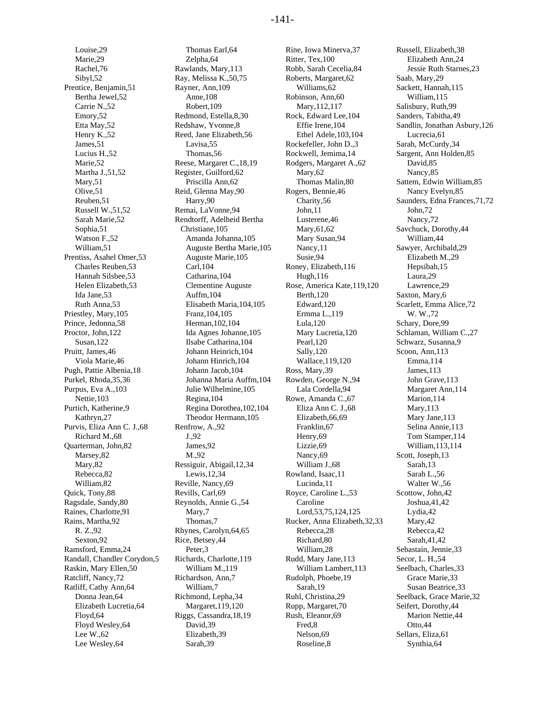Louise,29 Marie,29 Rachel,76 Sibyl,52 Prentice, Benjamin,51 Bertha Jewel,52 Carrie N.,52 Emory,52 Etta May,52 Henry K.,52 James,51 Lucius H.,52 Marie,52 Martha J.,51,52 Mary,51 Olive,51 Reuben,51 Russell W.,51,52 Sarah Marie,52 Sophia,51 Watson F.,52 William,51 Prentiss, Asahel Omer,53 Charles Reuben,53 Hannah Silsbee,53 Helen Elizabeth,53 Ida Jane,53 Ruth Anna,53 Priestley, Mary,105 Prince, Jedonna,58 Proctor, John,122 Susan,122 Pruitt, James,46 Viola Marie,46 Pugh, Pattie Albenia,18 Purkel, Rhoda,35,36 Purpus, Eva A.,103 Nettie,103 Purtich, Katherine,9 Kathryn,27 Purvis, Eliza Ann C. J.,68 Richard M.,68 Quarterman, John,82 Marsey,82 Mary,82 Rebecca,82 William,82 Quick, Tony,88 Ragsdale, Sandy,80 Raines, Charlotte,91 Rains, Martha,92 R. Z.,92 Sexton,92 Ramsford, Emma,24 Randall, Chandler Corydon,5 Raskin, Mary Ellen,50 Ratcliff, Nancy,72 Ratliff, Cathy Ann,64 Donna Jean,64 Elizabeth Lucretia,64 Floyd,64 Floyd Wesley,64 Lee W.,62 Lee Wesley,64

Thomas Earl,64 Zelpha,64 Rawlands, Mary,113 Ray, Melissa K.,50,75 Rayner, Ann,109 Anne,108 Robert,109 Redmond, Estella,8,30 Redshaw, Yvonne,8 Reed, Jane Elizabeth,56 Lavisa,55 Thomas,56 Reese, Margaret C.,18,19 Register, Guilford,62 Priscilla Ann,62 Reid, Glenna May,90 Harry,90 Remai, LaVonne,94 Rendtorff, Adelheid Bertha Christiane,105 Amanda Johanna,105 Auguste Bertha Marie,105 Auguste Marie,105 Carl,104 Catharina,104 Clementine Auguste Auffm,104 Elisabeth Maria,104,105 Franz,104,105 Herman,102,104 Ida Agnes Johanne,105 Ilsabe Catharina,104 Johann Heinrich,104 Johann Hinrich,104 Johann Jacob,104 Johanna Maria Auffm,104 Julie Wilhelmine,105 Regina,104 Regina Dorothea,102,104 Theodor Hermann,105 Renfrow, A.,92 J.,92 James,92 M.,92 Ressiguir, Abigail,12,34 Lewis,12,34 Reville, Nancy,69 Revills, Carl,69 Reynolds, Annie G.,54 Mary,7 Thomas,7 Rhynes, Carolyn,64,65 Rice, Betsey,44 Peter,3 Richards, Charlotte,119 William M.,119 Richardson, Ann,7 William,7 Richmond, Lepha,34 Margaret,119,120 Riggs, Cassandra,18,19 David,39 Elizabeth,39 Sarah,39

Rine, Iowa Minerva,37 Ritter, Tex,100 Robb, Sarah Cecelia,84 Roberts, Margaret,62 Williams,62 Robinson, Ann,60 Mary,112,117 Rock, Edward Lee,104 Effie Irene,104 Ethel Adele,103,104 Rockefeller, John D.,3 Rockwell, Jemima,14 Rodgers, Margaret A.,62 Mary,62 Thomas Malin,80 Rogers, Bennie,46 Charity,56 John,11 Lusterene,46 Mary,61,62 Mary Susan,94 Nancy,11 Susie,94 Roney, Elizabeth,116 Hugh,116 Rose, America Kate,119,120 Berth,120 Edward,120 Ermma L.,119 Lula,120 Mary Lucretia,120 Pearl,120 Sally,120 Wallace,119,120 Ross, Mary,39 Rowden, George N.,94 Lala Cordella,94 Rowe, Amanda C.,67 Eliza Ann C. J.,68 Elizabeth,66,69 Franklin,67 Henry,69 Lizzie,69 Nancy,69 William J.,68 Rowland, Isaac,11 Lucinda,11 Royce, Caroline L.,53 Caroline Lord,53,75,124,125 Rucker, Anna Elizabeth,32,33 Rebecca,28 Richard,80 William,28 Rudd, Mary Jane,113 William Lambert,113 Rudolph, Phoebe,19 Sarah,19 Ruhl, Christina,29 Rupp, Margaret,70 Rush, Eleanor,69 Fred,8 Nelson,69 Roseline,8

Russell, Elizabeth,38 Elizabeth Ann,24 Jessie Ruth Starnes,23 Saab, Mary,29 Sackett, Hannah,115 William,115 Salisbury, Ruth,99 Sanders, Tabitha,49 Sandlin, Jonathan Asbury,126 Lucrecia,61 Sarah, McCurdy,34 Sargent, Ann Holden,85 David,85 Nancy,85 Sattem, Edwin William,85 Nancy Evelyn,85 Saunders, Edna Frances,71,72 John,72 Nancy,72 Savchuck, Dorothy,44 William,44 Sawyer, Archibald,29 Elizabeth M.,29 Hepsibah,15 Laura,29 Lawrence,29 Saxton, Mary,6 Scarlett, Emma Alice,72 W. W.,72 Schary, Dore,99 Schlaman, William C.,27 Schwarz, Susanna,9 Scoon, Ann,113 Emma,114 James,113 John Grave,113 Margaret Ann,114 Marion,114 Mary,113 Mary Jane,113 Selina Annie,113 Tom Stamper,114 William,113,114 Scott, Joseph,13 Sarah,13 Sarah L.,56 Walter W.,56 Scottow, John,42 Joshua,41,42 Lydia,42 Mary,42 Rebecca,42 Sarah,41,42 Sebastain, Jennie,33 Secor, L. H.,54 Seelbach, Charles,33 Grace Marie,33 Susan Beatrice,33 Seelback, Grace Marie,32 Seifert, Dorothy,44 Marion Nettie,44 Otto,44 Sellars, Eliza,61 Synthia,64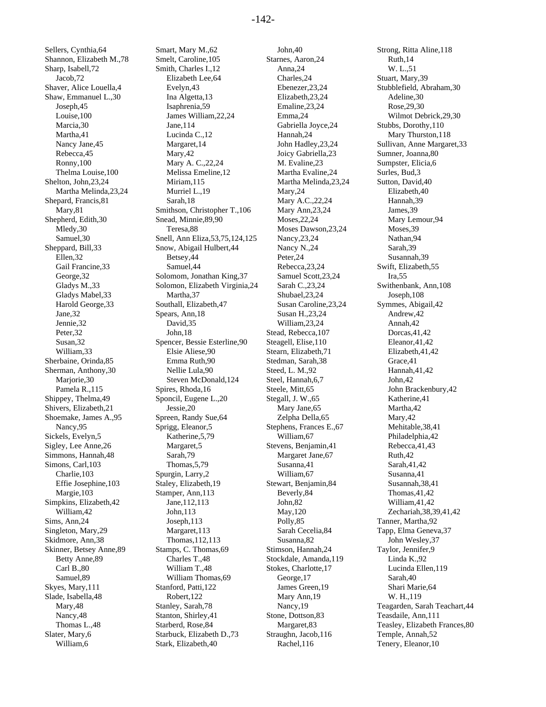Sellers, Cynthia,64 Shannon, Elizabeth M.,78 Sharp, Isabell,72 Jacob,72 Shaver, Alice Louella,4 Shaw, Emmanuel L.,30 Joseph,45 Louise,100 Marcia,30 Martha,41 Nancy Jane,45 Rebecca,45 Ronny,100 Thelma Louise,100 Shelton, John,23,24 Martha Melinda,23,24 Shepard, Francis,81 Mary,81 Shepherd, Edith,30 Mledy,30 Samuel,30 Sheppard, Bill,33 Ellen,32 Gail Francine,33 George,32 Gladys M.,33 Gladys Mabel,33 Harold George,33 Jane,32 Jennie,32 Peter,32 Susan,32 William,33 Sherbaine, Orinda,85 Sherman, Anthony,30 Marjorie,30 Pamela R.,115 Shippey, Thelma,49 Shivers, Elizabeth,21 Shoemake, James A.,95 Nancy,95 Sickels, Evelyn,5 Sigley, Lee Anne,26 Simmons, Hannah,48 Simons, Carl,103 Charlie,103 Effie Josephine,103 Margie,103 Simpkins, Elizabeth,42 William,42 Sims, Ann,24 Singleton, Mary,29 Skidmore, Ann,38 Skinner, Betsey Anne,89 Betty Anne,89 Carl B.,80 Samuel,89 Skyes, Mary,111 Slade, Isabella,48 Mary,48 Nancy,48 Thomas L.,48 Slater, Mary,6 William,6

Smart, Mary M.,62 Smelt, Caroline,105 Smith, Charles I.,12 Elizabeth Lee,64 Evelyn,43 Ina Algetta,13 Isaphrenia,59 James William,22,24 Jane,114 Lucinda C.,12 Margaret,14 Mary,42 Mary A. C.,22,24 Melissa Emeline,12 Miriam,115 Murriel L.,19 Sarah,18 Smithson, Christopher T.,106 Snead, Minnie,89,90 Teresa,88 Snell, Ann Eliza,53,75,124,125 Snow, Abigail Hulbert,44 Betsey,44 Samuel,44 Solomom, Jonathan King,37 Solomon, Elizabeth Virginia,24 Martha,37 Southall, Elizabeth,47 Spears, Ann,18 David,35 John,18 Spencer, Bessie Esterline,90 Elsie Aliese,90 Emma Ruth,90 Nellie Lula,90 Steven McDonald,124 Spires, Rhoda,16 Sponcil, Eugene L.,20 Jessie,20 Spreen, Randy Sue,64 Sprigg, Eleanor,5 Katherine,5,79 Margaret,5 Sarah,79 Thomas,5,79 Spurgin, Larry,2 Staley, Elizabeth,19 Stamper, Ann,113 Jane,112,113 John,113 Joseph,113 Margaret,113 Thomas,112,113 Stamps, C. Thomas,69 Charles T.,48 William T.,48 William Thomas,69 Stanford, Patti,122 Robert,122 Stanley, Sarah,78 Stanton, Shirley,41 Starberd, Rose,84 Starbuck, Elizabeth D.,73 Stark, Elizabeth,40

John,40 Starnes, Aaron,24 Anna,24 Charles,24 Ebenezer,23,24 Elizabeth,23,24 Emaline,23,24 Emma,24 Gabriella Joyce,24 Hannah,24 John Hadley,23,24 Joicy Gabriella,23 M. Evaline,23 Martha Evaline,24 Martha Melinda,23,24 Mary,24 Mary A.C.,22,24 Mary Ann,23,24 Moses,22,24 Moses Dawson,23,24 Nancy,23,24 Nancy N.,24 Peter,24 Rebecca,23,24 Samuel Scott,23,24 Sarah C.,23,24 Shubael,23,24 Susan Caroline,23,24 Susan H.,23,24 William,23,24 Stead, Rebecca,107 Steagell, Elise,110 Stearn, Elizabeth,71 Stedman, Sarah,38 Steed, L. M.,92 Steel, Hannah,6,7 Steele, Mitt,65 Stegall, J. W.,65 Mary Jane,65 Zelpha Della,65 Stephens, Frances E.,67 William,67 Stevens, Benjamin,41 Margaret Jane,67 Susanna,41 William,67 Stewart, Benjamin,84 Beverly,84 John,82 May,120 Polly,85 Sarah Cecelia,84 Susanna,82 Stimson, Hannah,24 Stockdale, Amanda,119 Stokes, Charlotte,17 George,17 James Green,19 Mary Ann,19 Nancy,19 Stone, Dottson,83 Margaret,83 Straughn, Jacob,116 Rachel,116

Strong, Ritta Aline,118 Ruth,14 W. L.,51 Stuart, Mary,39 Stubblefield, Abraham,30 Adeline,30 Rose,29,30 Wilmot Debrick,29,30 Stubbs, Dorothy,110 Mary Thurston,118 Sullivan, Anne Margaret,33 Sumner, Joanna,80 Sumpster, Elicia,6 Surles, Bud,3 Sutton, David,40 Elizabeth,40 Hannah,39 James,39 Mary Lemour,94 Moses,39 Nathan,94 Sarah,39 Susannah,39 Swift, Elizabeth,55 Ira,55 Swithenbank, Ann,108 Joseph,108 Symmes, Abigail,42 Andrew,42 Annah,42 Dorcas,41,42 Eleanor,41,42 Elizabeth,41,42 Grace,41 Hannah,41,42 John,42 John Brackenbury,42 Katherine,41 Martha,42 Mary,42 Mehitable,38,41 Philadelphia,42 Rebecca,41,43 Ruth,42 Sarah,41,42 Susanna,41 Susannah,38,41 Thomas,41,42 William,41,42 Zechariah,38,39,41,42 Tanner, Martha,92 Tapp, Elma Geneva,37 John Wesley,37 Taylor, Jennifer,9 Linda K.,92 Lucinda Ellen,119 Sarah,40 Shari Marie,64 W. H.,119 Teagarden, Sarah Teachart,44 Teasdaile, Ann,111 Teasley, Elizabeth Frances,80 Temple, Annah,52 Tenery, Eleanor,10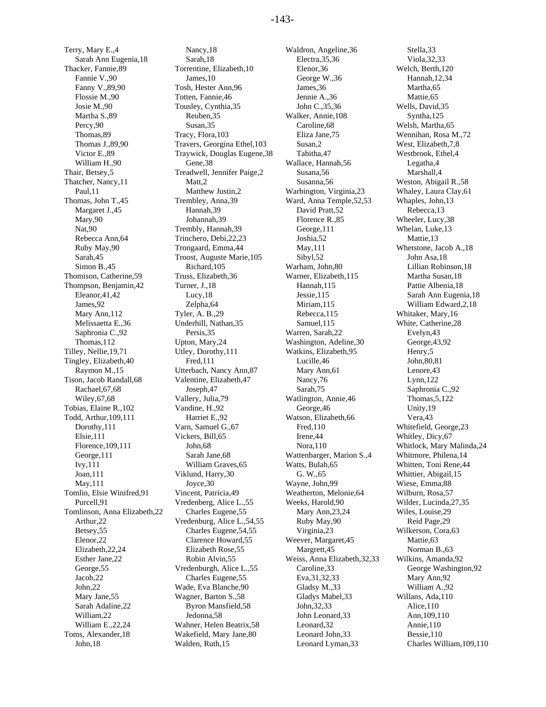Terry, Mary E.,4 Sarah Ann Eugenia,18 Thacker, Fannie,89 Fannie V.,90 Fanny V.,89,90 Flossie M.,90 Josie M.,90 Martha S.,89 Percy,90 Thomas,89 Thomas J.,89,90 Victor E.,89 William H.,90 Thair, Betsey,5 Thatcher, Nancy,11 Paul,11 Thomas, John T.,45 Margaret J.,45 Mary,90 Nat,90 Rebecca Ann,64 Ruby May,90 Sarah,45 Simon B.,45 Thomison, Catherine,59 Thompson, Benjamin,42 Eleanor,41,42 James,92 Mary Ann,112 Melissaetta E.,36 Saphronia C.,92 Thomas,112 Tilley, Nellie,19,71 Tingley, Elizabeth,40 Raymon M.,15 Tison, Jacob Randall,68 Rachael,67,68 Wiley,67,68 Tobias, Elaine R.,102 Todd, Arthur,109,111 Dorothy,111 Elsie,111 Florence,109,111 George,111 Ivy,111 Joan,111 May,111 Tomlin, Elsie Winifred,91 Purcell,91 Tomlinson, Anna Elizabeth,22 Arthur,22 Betsey,55 Elenor,22 Elizabeth,22,24 Esther Jane,22 George,55 Jacob,22 John,22 Mary Jane,55 Sarah Adaline,22 William,22 William E.,22,24 Toms, Alexander,18 John,18

Nancy,18 Sarah,18 Torrentine, Elizabeth,10 James,10 Tosh, Hester Ann,96 Totten, Fannie,46 Tousley, Cynthia,35 Reuben,35 Susan,35 Tracy, Flora,103 Travers, Georgina Ethel,103 Traywick, Douglas Eugene,38 Gene,38 Treadwell, Jennifer Paige,2 Matt<sub>2</sub> Matthew Justin,2 Trembley, Anna,39 Hannah,39 Johannah,39 Trembly, Hannah,39 Trinchero, Debi,22,23 Trongaard, Emma,44 Troost, Auguste Marie,105 Richard,105 Truss, Elizabeth,36 Turner, J.,18 Lucy,18 Zelpha,64 Tyler, A. B.,29 Underhill, Nathan,35 Persis,35 Upton, Mary,24 Utley, Dorothy,111 Fred,111 Utterbach, Nancy Ann,87 Valentine, Elizabeth,47 Joseph,47 Vallery, Julia,79 Vandine, H.,92 Harriet E.,92 Varn, Samuel G.,67 Vickers, Bill,65 John,68 Sarah Jane,68 William Graves,65 Viklund, Harry,30 Joyce,30 Vincent, Patricia,49 Vredenberg, Alice L.,55 Charles Eugene,55 Vredenburg, Alice L.,54,55 Charles Eugene,54,55 Clarence Howard,55 Elizabeth Rose,55 Robin Alvin,55 Vredenburgh, Alice L.,55 Charles Eugene,55 Wade, Eva Blanche,90 Wagner, Barton S.,58 Byron Mansfield,58 Jedonna,58 Wahner, Helen Beatrix,58 Wakefield, Mary Jane,80 Walden, Ruth,15

Waldron, Angeline,36 Electra,35,36 Elenor,36 George W.,36 James,36 Jennie A.,36 John C.,35,36 Walker, Annie,108 Caroline,68 Eliza Jane,75 Susan,2 Tabitha,47 Wallace, Hannah,56 Susana,56 Susanna,56 Warbington, Virginia,23 Ward, Anna Temple,52,53 David Pratt,52 Florence R.,85 George,111 Joshia,52 May,111 Sibyl,52 Warham, John,80 Warner, Elizabeth,115 Hannah,115 Jessie,115 Miriam,115 Rebecca,115 Samuel,115 Warren, Sarah,22 Washington, Adeline,30 Watkins, Elizabeth,95 Lucille,46 Mary Ann,61 Nancy,76 Sarah,75 Watlington, Annie,46 George,46 Watson, Elizabeth,66 Fred,110 Irene,44 Nora,110 Wattenbarger, Marion S.,4 Watts, Bulah,65 G. W.,65 Wayne, John,99 Weatherton, Melonie,64 Weeks, Harold,90 Mary Ann,23,24 Ruby May,90 Virginia,23 Weever, Margaret,45 Margrett,45 Weiss, Anna Elizabeth,32,33 Caroline,33 Eva,31,32,33 Gladsy M.,33 Gladys Mabel,33 John,32,33 John Leonard,33 Leonard,32 Leonard John,33 Leonard Lyman,33

Stella,33 Viola,32,33 Welch, Berth,120 Hannah,12,34 Martha,65 Mattie,65 Wells, David,35 Syntha,125 Welsh, Martha,65 Wennihan, Rosa M.,72 West, Elizabeth,7,8 Westbrook, Ethel,4 Legatha,4 Marshall,4 Weston, Abigail R.,58 Whaley, Laura Clay,61 Whaples, John,13 Rebecca,13 Wheeler, Lucy,38 Whelan, Luke,13 Mattie,13 Whetstone, Jacob A.,18 John Asa,18 Lillian Robinson,18 Martha Susan,18 Pattie Albenia,18 Sarah Ann Eugenia,18 William Edward,2,18 Whitaker, Mary,16 White, Catherine,28 Evelyn,43 George,43,92 Henry,5 John,80,81 Lenore,43 Lynn,122 Saphronia C.,92 Thomas,5,122 Unity,19 Vera,43 Whitefield, George,23 Whitley, Dicy,67 Whitlock, Mary Malinda,24 Whitmore, Philena,14 Whitten, Toni Rene,44 Whittier, Abigail,15 Wiese, Emma,88 Wilburn, Rosa,57 Wilder, Lucinda,27,35 Wiles, Louise,29 Reid Page,29 Wilkerson, Cora,63 Mattie,63 Norman B.,63 Wilkins, Amanda,92 George Washington,92 Mary Ann,92 William A.,92 Willans, Ada,110 Alice,110 Ann,109,110 Annie,110 Bessie,110 Charles William,109,110